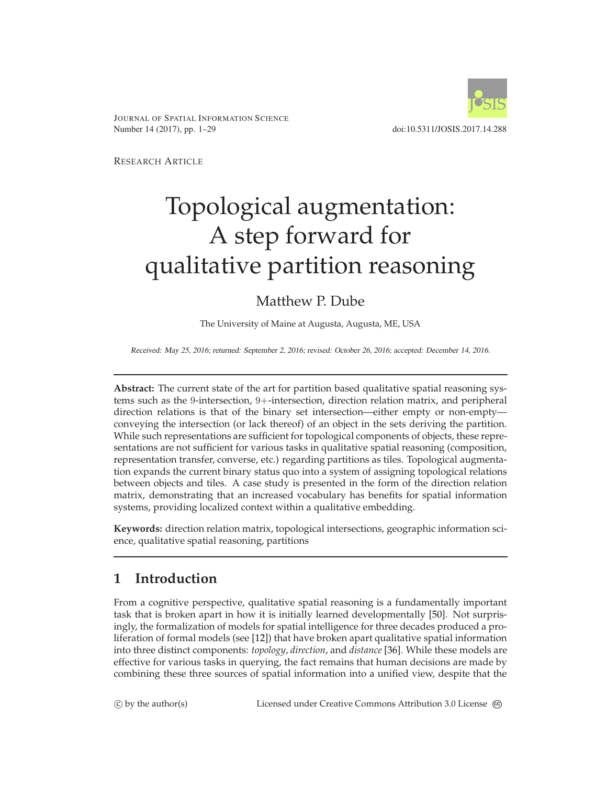

JOURNAL OF SPATIAL INFORMATION SCIENCE Number 14 (2017), pp. 1–29 doi:10.5311/JOSIS.2017.14.288

RESEARCH ARTICLE

# Topological augmentation: A step forward for qualitative partition reasoning

# Matthew P. Dube

The University of Maine at Augusta, Augusta, ME, USA

Received: May 25, 2016; returned: September 2, 2016; revised: October 26, 2016; accepted: December 14, 2016.

**Abstract:** The current state of the art for partition based qualitative spatial reasoning systems such as the 9-intersection, 9+-intersection, direction relation matrix, and peripheral direction relations is that of the binary set intersection—either empty or non-empty conveying the intersection (or lack thereof) of an object in the sets deriving the partition. While such representations are sufficient for topological components of objects, these representations are not sufficient for various tasks in qualitative spatial reasoning (composition, representation transfer, converse, etc.) regarding partitions as tiles. Topological augmentation expands the current binary status quo into a system of assigning topological relations between objects and tiles. A case study is presented in the form of the direction relation matrix, demonstrating that an increased vocabulary has benefits for spatial information systems, providing localized context within a qualitative embedding.

**Keywords:** direction relation matrix, topological intersections, geographic information science, qualitative spatial reasoning, partitions

# <span id="page-0-0"></span>**1 Introduction**

From a cognitive perspective, qualitative spatial reasoning is a fundamentally important task that is broken apart in how it is initially learned developmentally [\[50\]](#page-27-0). Not surprisingly, the formalization of models for spatial intelligence for three decades produced a proliferation of formal models (see [\[12\]](#page-24-0)) that have broken apart qualitative spatial information into three distinct components: *topology*, *direction*, and *distance* [\[36\]](#page-26-0). While these models are effective for various tasks in querying, the fact remains that human decisions are made by combining these three sources of spatial information into a unified view, despite that the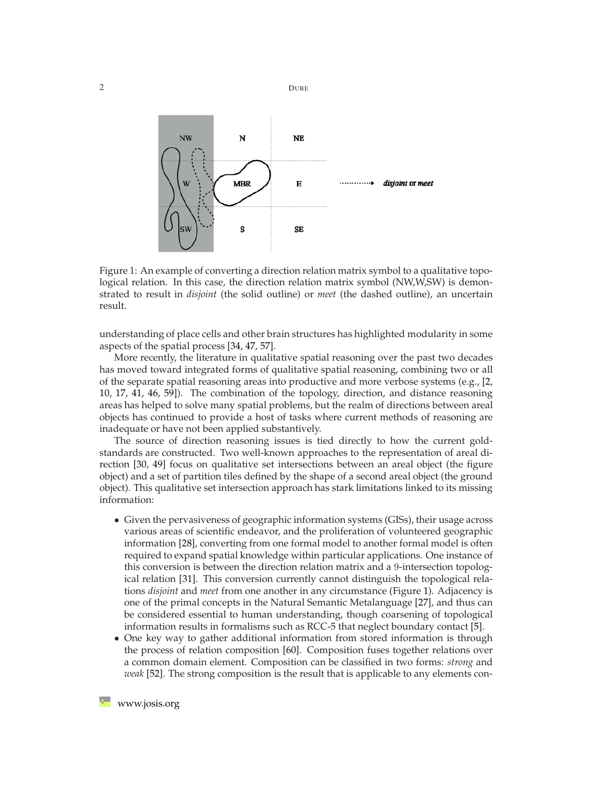

<span id="page-1-0"></span>Figure 1: An example of converting a direction relation matrix symbol to a qualitative topological relation. In this case, the direction relation matrix symbol (NW,W,SW) is demonstrated to result in *disjoint* (the solid outline) or *meet* (the dashed outline), an uncertain result.

understanding of place cells and other brain structures has highlighted modularity in some aspects of the spatial process [\[34,](#page-25-0) [47,](#page-26-1) [57\]](#page-27-1).

More recently, the literature in qualitative spatial reasoning over the past two decades has moved toward integrated forms of qualitative spatial reasoning, combining two or all of the separate spatial reasoning areas into productive and more verbose systems (e.g.,  $[2,$ [10,](#page-24-1) [17,](#page-24-2) [41,](#page-26-2) [46,](#page-26-3) [59\]](#page-27-2)). The combination of the topology, direction, and distance reasoning areas has helped to solve many spatial problems, but the realm of directions between areal objects has continued to provide a host of tasks where current methods of reasoning are inadequate or have not been applied substantively.

The source of direction reasoning issues is tied directly to how the current goldstandards are constructed. Two well-known approaches to the representation of areal direction [\[30,](#page-25-1) [49\]](#page-27-3) focus on qualitative set intersections between an areal object (the figure object) and a set of partition tiles defined by the shape of a second areal object (the ground object). This qualitative set intersection approach has stark limitations linked to its missing information:

- Given the pervasiveness of geographic information systems (GISs), their usage across various areas of scientific endeavor, and the proliferation of volunteered geographic information [\[28\]](#page-25-2), converting from one formal model to another formal model is often required to expand spatial knowledge within particular applications. One instance of this conversion is between the direction relation matrix and a 9-intersection topological relation [\[31\]](#page-25-3). This conversion currently cannot distinguish the topological relations *disjoint* and *meet* from one another in any circumstance (Figure [1\)](#page-1-0). Adjacency is one of the primal concepts in the Natural Semantic Metalanguage [\[27\]](#page-25-4), and thus can be considered essential to human understanding, though coarsening of topological information results in formalisms such as RCC-5 that neglect boundary contact [\[5\]](#page-23-1).
- One key way to gather additional information from stored information is through the process of relation composition [\[60\]](#page-27-4). Composition fuses together relations over a common domain element. Composition can be classified in two forms: *strong* and *weak* [\[52\]](#page-27-5). The strong composition is the result that is applicable to any elements con-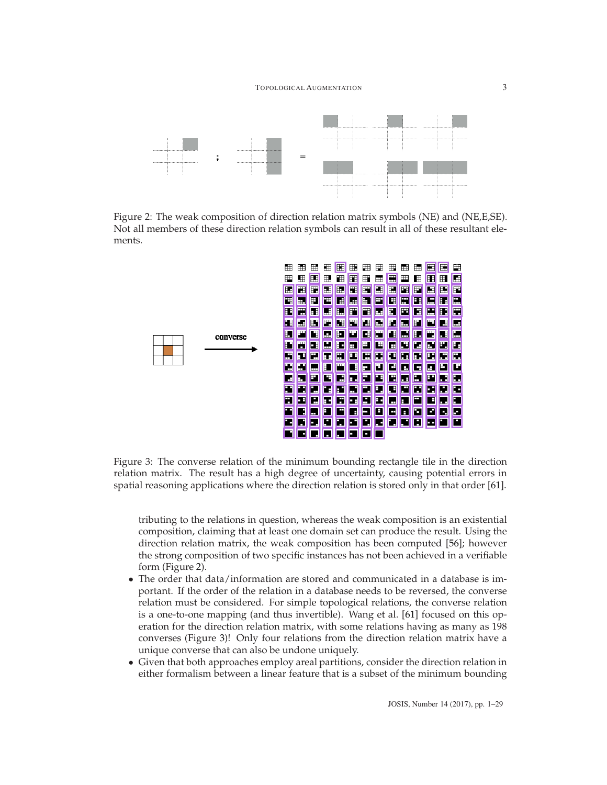

Figure 2: The weak composition of direction relation matrix symbols (NE) and (NE,E,SE). Not all members of these direction relation symbols can result in all of these resultant elements.

<span id="page-2-0"></span>

<span id="page-2-1"></span>Figure 3: The converse relation of the minimum bounding rectangle tile in the direction relation matrix. The result has a high degree of uncertainty, causing potential errors in spatial reasoning applications where the direction relation is stored only in that order [\[61\]](#page-27-6).

tributing to the relations in question, whereas the weak composition is an existential composition, claiming that at least one domain set can produce the result. Using the direction relation matrix, the weak composition has been computed [\[56\]](#page-27-7); however the strong composition of two specific instances has not been achieved in a verifiable form (Figure [2\)](#page-2-0).

- The order that data/information are stored and communicated in a database is important. If the order of the relation in a database needs to be reversed, the converse relation must be considered. For simple topological relations, the converse relation is a one-to-one mapping (and thus invertible). Wang et al. [\[61\]](#page-27-6) focused on this operation for the direction relation matrix, with some relations having as many as 198 converses (Figure [3\)](#page-2-1)! Only four relations from the direction relation matrix have a unique converse that can also be undone uniquely.
- Given that both approaches employ areal partitions, consider the direction relation in either formalism between a linear feature that is a subset of the minimum bounding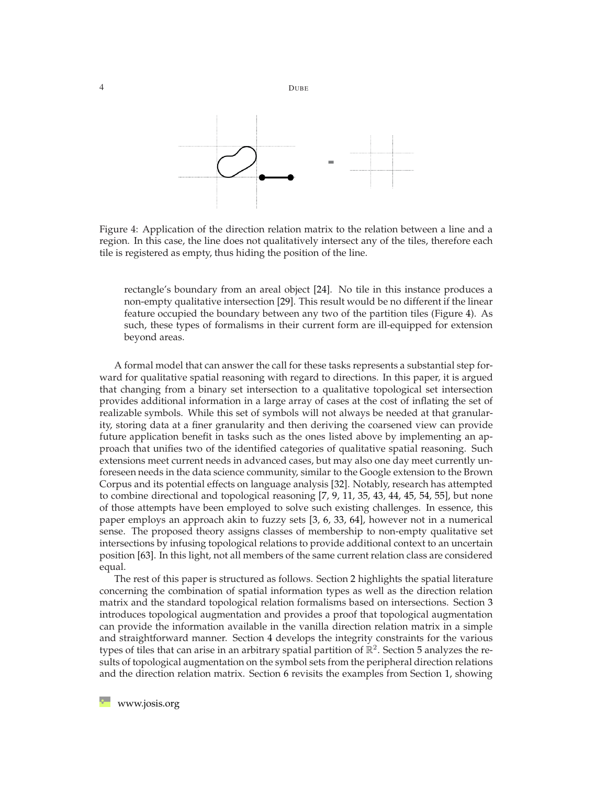

<span id="page-3-0"></span>Figure 4: Application of the direction relation matrix to the relation between a line and a region. In this case, the line does not qualitatively intersect any of the tiles, therefore each tile is registered as empty, thus hiding the position of the line.

rectangle's boundary from an areal object [\[24\]](#page-25-5). No tile in this instance produces a non-empty qualitative intersection [\[29\]](#page-25-6). This result would be no different if the linear feature occupied the boundary between any two of the partition tiles (Figure [4\)](#page-3-0). As such, these types of formalisms in their current form are ill-equipped for extension beyond areas.

A formal model that can answer the call for these tasks represents a substantial step forward for qualitative spatial reasoning with regard to directions. In this paper, it is argued that changing from a binary set intersection to a qualitative topological set intersection provides additional information in a large array of cases at the cost of inflating the set of realizable symbols. While this set of symbols will not always be needed at that granularity, storing data at a finer granularity and then deriving the coarsened view can provide future application benefit in tasks such as the ones listed above by implementing an approach that unifies two of the identified categories of qualitative spatial reasoning. Such extensions meet current needs in advanced cases, but may also one day meet currently unforeseen needs in the data science community, similar to the Google extension to the Brown Corpus and its potential effects on language analysis [\[32\]](#page-25-7). Notably, research has attempted to combine directional and topological reasoning [\[7,](#page-23-2) [9,](#page-24-3) [11,](#page-24-4) [35,](#page-26-4) [43,](#page-26-5) [44,](#page-26-6) [45,](#page-26-7) [54,](#page-27-8) [55\]](#page-27-9), but none of those attempts have been employed to solve such existing challenges. In essence, this paper employs an approach akin to fuzzy sets [\[3,](#page-23-3) [6,](#page-23-4) [33,](#page-25-8) [64\]](#page-28-0), however not in a numerical sense. The proposed theory assigns classes of membership to non-empty qualitative set intersections by infusing topological relations to provide additional context to an uncertain position [\[63\]](#page-28-1). In this light, not all members of the same current relation class are considered equal.

The rest of this paper is structured as follows. Section [2](#page-4-0) highlights the spatial literature concerning the combination of spatial information types as well as the direction relation matrix and the standard topological relation formalisms based on intersections. Section [3](#page-8-0) introduces topological augmentation and provides a proof that topological augmentation can provide the information available in the vanilla direction relation matrix in a simple and straightforward manner. Section [4](#page-10-0) develops the integrity constraints for the various types of tiles that can arise in an arbitrary spatial partition of  $\mathbb{R}^2$ . Section [5](#page-16-0) analyzes the results of topological augmentation on the symbol sets from the peripheral direction relations and the direction relation matrix. Section [6](#page-19-0) revisits the examples from Section [1,](#page-0-0) showing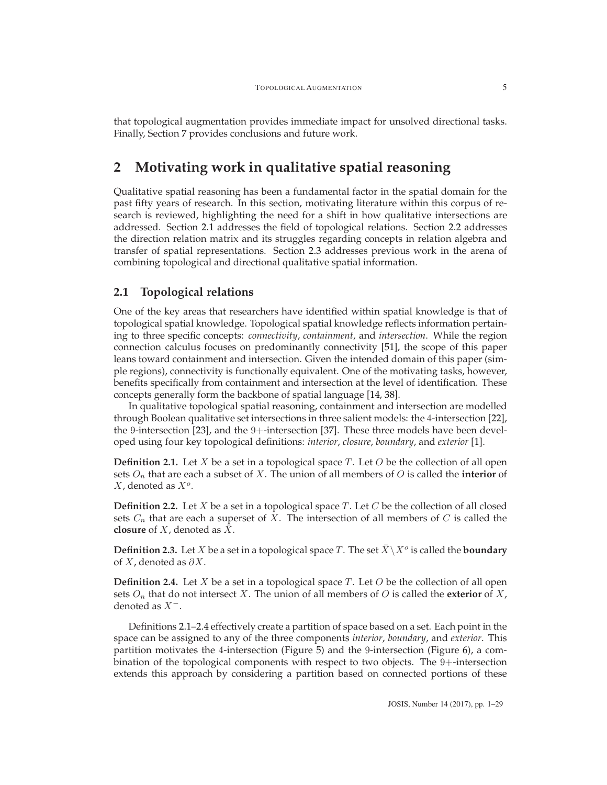that topological augmentation provides immediate impact for unsolved directional tasks. Finally, Section [7](#page-22-0) provides conclusions and future work.

# <span id="page-4-0"></span>**2 Motivating work in qualitative spatial reasoning**

Qualitative spatial reasoning has been a fundamental factor in the spatial domain for the past fifty years of research. In this section, motivating literature within this corpus of research is reviewed, highlighting the need for a shift in how qualitative intersections are addressed. Section [2.1](#page-4-1) addresses the field of topological relations. Section [2.2](#page-5-0) addresses the direction relation matrix and its struggles regarding concepts in relation algebra and transfer of spatial representations. Section [2.3](#page-7-0) addresses previous work in the arena of combining topological and directional qualitative spatial information.

#### <span id="page-4-1"></span>**2.1 Topological relations**

One of the key areas that researchers have identified within spatial knowledge is that of topological spatial knowledge. Topological spatial knowledge reflects information pertaining to three specific concepts: *connectivity*, *containment*, and *intersection*. While the region connection calculus focuses on predominantly connectivity [\[51\]](#page-27-10), the scope of this paper leans toward containment and intersection. Given the intended domain of this paper (simple regions), connectivity is functionally equivalent. One of the motivating tasks, however, benefits specifically from containment and intersection at the level of identification. These concepts generally form the backbone of spatial language [\[14,](#page-24-5) [38\]](#page-26-8).

In qualitative topological spatial reasoning, containment and intersection are modelled through Boolean qualitative set intersections in three salient models: the 4-intersection [\[22\]](#page-25-9), the 9-intersection [\[23\]](#page-25-10), and the 9+-intersection [\[37\]](#page-26-9). These three models have been developed using four key topological definitions: *interior*, *closure*, *boundary*, and *exterior* [\[1\]](#page-23-5).

<span id="page-4-2"></span>**Definition 2.1.** Let X be a set in a topological space T. Let O be the collection of all open sets O*<sup>n</sup>* that are each a subset of X. The union of all members of O is called the **interior** of X, denoted as X*<sup>o</sup>*.

**Definition 2.2.** Let  $X$  be a set in a topological space  $T$ . Let  $C$  be the collection of all closed sets  $C_n$  that are each a superset of X. The intersection of all members of  $C$  is called the **closure** of *X*, denoted as  $\bar{X}$ .

**Definition 2.3.** Let *X* be a set in a topological space *T*. The set  $\bar{X} \setminus X^o$  is called the **boundary** of  $X$ , denoted as  $\partial X$ .

<span id="page-4-3"></span>**Definition 2.4.** Let X be a set in a topological space T. Let  $O$  be the collection of all open sets  $O_n$  that do not intersect X. The union of all members of O is called the **exterior** of X, denoted as X*−*.

Definitions [2.1](#page-4-2)[–2.4](#page-4-3) effectively create a partition of space based on a set. Each point in the space can be assigned to any of the three components *interior*, *boundary*, and *exterior*. This partition motivates the 4-intersection (Figure [5\)](#page-5-1) and the 9-intersection (Figure [6\)](#page-6-0), a combination of the topological components with respect to two objects. The 9+-intersection extends this approach by considering a partition based on connected portions of these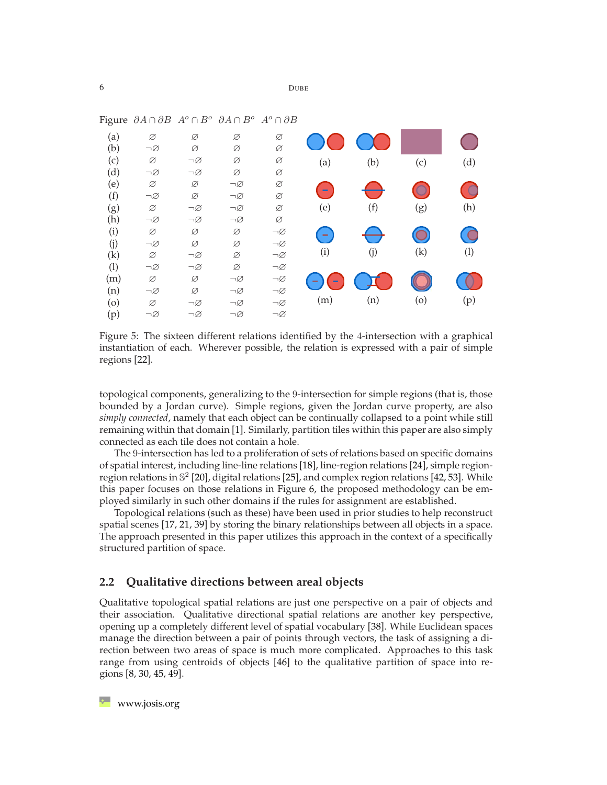| - היית | 0.11101            | . .<br>$\overline{\phantom{a}}$ | $\sim$             | . .                |                  |     |            |          |
|--------|--------------------|---------------------------------|--------------------|--------------------|------------------|-----|------------|----------|
| (a)    | Ø                  | Ø                               | Ø                  | Ø                  |                  |     |            |          |
| (b)    | $\neg\varnothing$  | Ø                               | Ø                  | Ø                  |                  |     |            |          |
| (c)    | Ø                  | $\neg \varnothing$              | Ø                  | Ø                  | (a)              | (b) | (c)        | (d)      |
| (d)    | $\neg\varnothing$  | $\neg\varnothing$               | Ø                  | Ø                  |                  |     |            |          |
| (e)    | Ø                  | Ø                               | $\neg\varnothing$  | Ø                  |                  |     | $\circ$    | <b>C</b> |
| (f)    | $\neg\varnothing$  | Ø                               | $\neg\varnothing$  | Ø                  |                  |     |            |          |
| (g)    | Ø                  | $\neg \varnothing$              | $\neg\varnothing$  | Ø                  | (e)              | (f) | (g)        | (h)      |
| (h)    | $\neg\varnothing$  | $\neg\varnothing$               | $\neg\varnothing$  | Ø                  |                  |     |            |          |
| (i)    | Ø                  | Ø                               | Ø                  | $\neg\varnothing$  | $\sim$           | ●   | $\bigcirc$ | C        |
| (j)    | $\neg\varnothing$  | Ø                               | Ø                  | $\neg \varnothing$ |                  |     |            |          |
| (k)    | Ø                  | $\neg \varnothing$              | Ø                  | $\neg \varnothing$ | (i)              | (j) | (k)        | (1)      |
| (1)    | $\neg\varnothing$  | $\neg\varnothing$               | Ø                  | $\neg\varnothing$  |                  |     |            |          |
| (m)    | Ø                  | Ø                               | $\neg\varnothing$  | $\neg \varnothing$ | $\sim$<br>$\sim$ |     |            |          |
| (n)    | $\neg \varnothing$ | Ø                               | $\neg\varnothing$  | $\neg\varnothing$  |                  |     |            |          |
| (0)    | Ø                  | $\neg\varnothing$               | $\neg\varnothing$  | $\neg \varnothing$ | (m)              | (n) | (0)        | (p)      |
| (p)    | $\neg\varnothing$  | $\neg\varnothing$               | $\neg \varnothing$ | $\neg \varnothing$ |                  |     |            |          |
|        |                    |                                 |                    |                    |                  |     |            |          |

Figure ∂A <sup>∩</sup> ∂B A*<sup>o</sup>* <sup>∩</sup> <sup>B</sup>*<sup>o</sup>* ∂A <sup>∩</sup> <sup>B</sup>*<sup>o</sup>* <sup>A</sup>*<sup>o</sup>* <sup>∩</sup> ∂B

<span id="page-5-1"></span>

topological components, generalizing to the 9-intersection for simple regions (that is, those bounded by a Jordan curve). Simple regions, given the Jordan curve property, are also *simply connected*, namely that each object can be continually collapsed to a point while still remaining within that domain [\[1\]](#page-23-5). Similarly, partition tiles within this paper are also simply connected as each tile does not contain a hole.

The 9-intersection has led to a proliferation of sets of relations based on specific domains of spatial interest, including line-line relations [\[18\]](#page-24-6), line-region relations [\[24\]](#page-25-5), simple regionregion relations in  $\mathbb{S}^2$  [\[20\]](#page-24-7), digital relations [\[25\]](#page-25-11), and complex region relations [\[42,](#page-26-10) [53\]](#page-27-11). While this paper focuses on those relations in Figure [6,](#page-6-0) the proposed methodology can be employed similarly in such other domains if the rules for assignment are established.

Topological relations (such as these) have been used in prior studies to help reconstruct spatial scenes [\[17,](#page-24-2) [21,](#page-25-12) [39\]](#page-26-11) by storing the binary relationships between all objects in a space. The approach presented in this paper utilizes this approach in the context of a specifically structured partition of space.

#### <span id="page-5-0"></span>**2.2 Qualitative directions between areal objects**

Qualitative topological spatial relations are just one perspective on a pair of objects and their association. Qualitative directional spatial relations are another key perspective, opening up a completely different level of spatial vocabulary [\[38\]](#page-26-8). While Euclidean spaces manage the direction between a pair of points through vectors, the task of assigning a direction between two areas of space is much more complicated. Approaches to this task range from using centroids of objects [\[46\]](#page-26-3) to the qualitative partition of space into regions [\[8,](#page-24-8) [30,](#page-25-1) [45,](#page-26-7) [49\]](#page-27-3).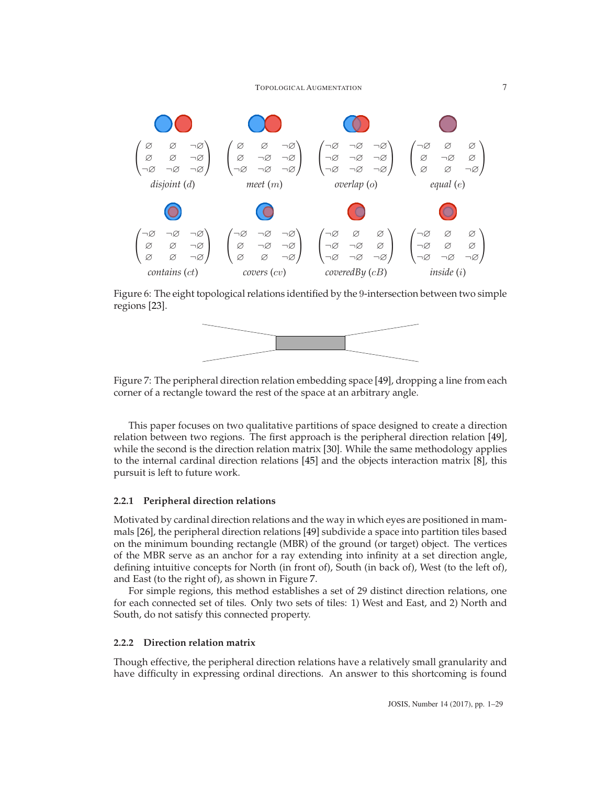

<span id="page-6-0"></span>Figure 6: The eight topological relations identified by the 9-intersection between two simple regions [\[23\]](#page-25-10).



<span id="page-6-1"></span>Figure 7: The peripheral direction relation embedding space [\[49\]](#page-27-3), dropping a line from each corner of a rectangle toward the rest of the space at an arbitrary angle.

This paper focuses on two qualitative partitions of space designed to create a direction relation between two regions. The first approach is the peripheral direction relation [\[49\]](#page-27-3), while the second is the direction relation matrix [\[30\]](#page-25-1). While the same methodology applies to the internal cardinal direction relations [\[45\]](#page-26-7) and the objects interaction matrix [\[8\]](#page-24-8), this pursuit is left to future work.

#### **2.2.1 Peripheral direction relations**

Motivated by cardinal direction relations and the way in which eyes are positioned in mammals [\[26\]](#page-25-13), the peripheral direction relations [\[49\]](#page-27-3) subdivide a space into partition tiles based on the minimum bounding rectangle (MBR) of the ground (or target) object. The vertices of the MBR serve as an anchor for a ray extending into infinity at a set direction angle, defining intuitive concepts for North (in front of), South (in back of), West (to the left of), and East (to the right of), as shown in Figure [7.](#page-6-1)

For simple regions, this method establishes a set of 29 distinct direction relations, one for each connected set of tiles. Only two sets of tiles: 1) West and East, and 2) North and South, do not satisfy this connected property.

#### **2.2.2 Direction relation matrix**

Though effective, the peripheral direction relations have a relatively small granularity and have difficulty in expressing ordinal directions. An answer to this shortcoming is found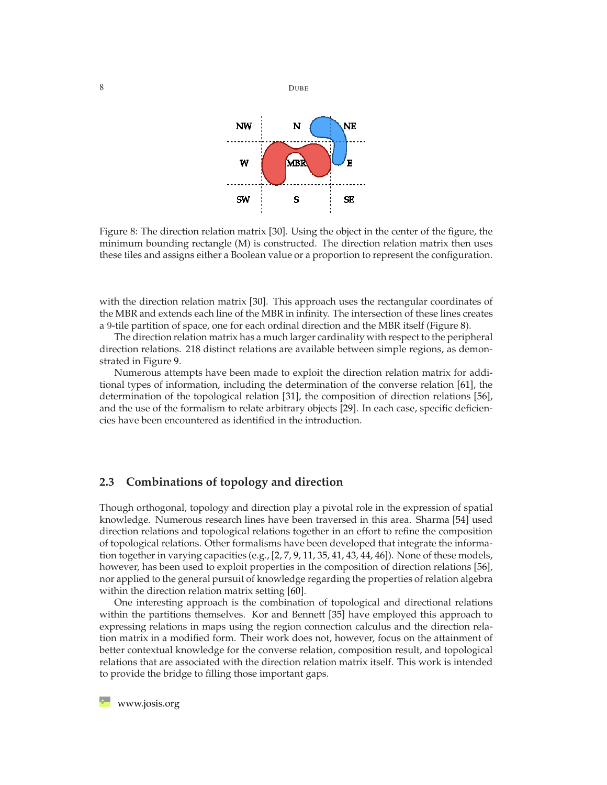



<span id="page-7-1"></span>Figure 8: The direction relation matrix [\[30\]](#page-25-1). Using the object in the center of the figure, the minimum bounding rectangle (M) is constructed. The direction relation matrix then uses these tiles and assigns either a Boolean value or a proportion to represent the configuration.

with the direction relation matrix [\[30\]](#page-25-1). This approach uses the rectangular coordinates of the MBR and extends each line of the MBR in infinity. The intersection of these lines creates a 9-tile partition of space, one for each ordinal direction and the MBR itself (Figure [8\)](#page-7-1).

The direction relation matrix has a much larger cardinality with respect to the peripheral direction relations. 218 distinct relations are available between simple regions, as demonstrated in Figure [9.](#page-8-1)

Numerous attempts have been made to exploit the direction relation matrix for additional types of information, including the determination of the converse relation [\[61\]](#page-27-6), the determination of the topological relation [\[31\]](#page-25-3), the composition of direction relations [\[56\]](#page-27-7), and the use of the formalism to relate arbitrary objects [\[29\]](#page-25-6). In each case, specific deficiencies have been encountered as identified in the introduction.

#### <span id="page-7-0"></span>**2.3 Combinations of topology and direction**

Though orthogonal, topology and direction play a pivotal role in the expression of spatial knowledge. Numerous research lines have been traversed in this area. Sharma [\[54\]](#page-27-8) used direction relations and topological relations together in an effort to refine the composition of topological relations. Other formalisms have been developed that integrate the information together in varying capacities (e.g., [\[2,](#page-23-0) [7,](#page-23-2) [9,](#page-24-3) [11,](#page-24-4) [35,](#page-26-4) [41,](#page-26-2) [43,](#page-26-5) [44,](#page-26-6) [46\]](#page-26-3)). None of these models, however, has been used to exploit properties in the composition of direction relations [\[56\]](#page-27-7), nor applied to the general pursuit of knowledge regarding the properties of relation algebra within the direction relation matrix setting [\[60\]](#page-27-4).

One interesting approach is the combination of topological and directional relations within the partitions themselves. Kor and Bennett [\[35\]](#page-26-4) have employed this approach to expressing relations in maps using the region connection calculus and the direction relation matrix in a modified form. Their work does not, however, focus on the attainment of better contextual knowledge for the converse relation, composition result, and topological relations that are associated with the direction relation matrix itself. This work is intended to provide the bridge to filling those important gaps.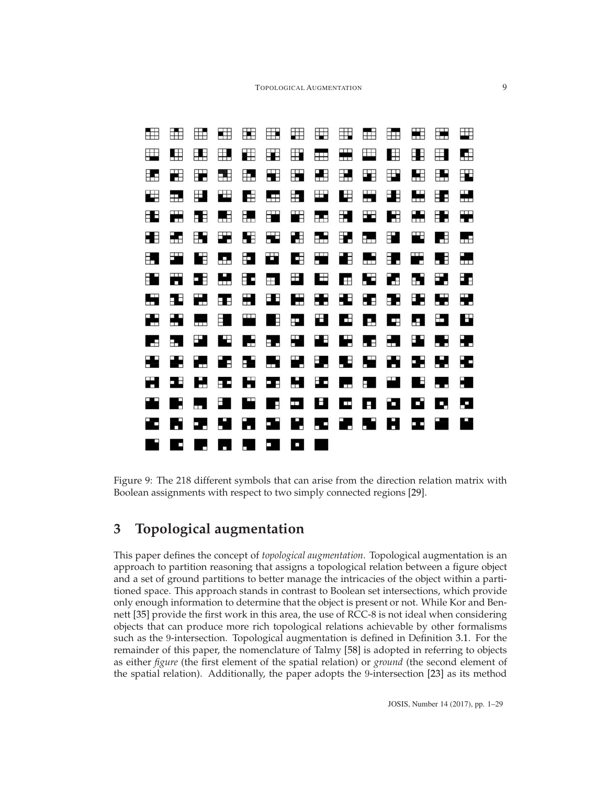

<span id="page-8-1"></span>Figure 9: The 218 different symbols that can arise from the direction relation matrix with Boolean assignments with respect to two simply connected regions [\[29\]](#page-25-6).

# <span id="page-8-0"></span>**3 Topological augmentation**

This paper defines the concept of *topological augmentation*. Topological augmentation is an approach to partition reasoning that assigns a topological relation between a figure object and a set of ground partitions to better manage the intricacies of the object within a partitioned space. This approach stands in contrast to Boolean set intersections, which provide only enough information to determine that the object is present or not. While Kor and Bennett [\[35\]](#page-26-4) provide the first work in this area, the use of RCC-8 is not ideal when considering objects that can produce more rich topological relations achievable by other formalisms such as the 9-intersection. Topological augmentation is defined in Definition [3.1.](#page-9-0) For the remainder of this paper, the nomenclature of Talmy [\[58\]](#page-27-12) is adopted in referring to objects as either *figure* (the first element of the spatial relation) or *ground* (the second element of the spatial relation). Additionally, the paper adopts the 9-intersection [\[23\]](#page-25-10) as its method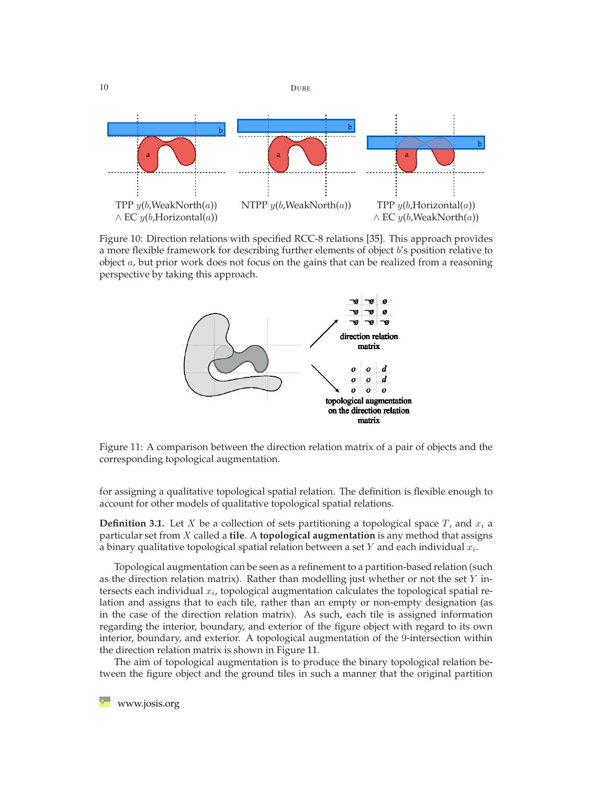

Figure 10: Direction relations with specified RCC-8 relations [\[35\]](#page-26-4). This approach provides a more flexible framework for describing further elements of object  $b$ 's position relative to object  $a$ , but prior work does not focus on the gains that can be realized from a reasoning perspective by taking this approach.



<span id="page-9-1"></span>Figure 11: A comparison between the direction relation matrix of a pair of objects and the corresponding topological augmentation.

for assigning a qualitative topological spatial relation. The definition is flexible enough to account for other models of qualitative topological spatial relations.

<span id="page-9-0"></span>**Definition 3.1.** Let X be a collection of sets partitioning a topological space  $T$ , and  $x_i$  a particular set from X called a **tile**. A **topological augmentation** is any method that assigns a binary qualitative topological spatial relation between a set Y and each individual x*i*.

Topological augmentation can be seen as a refinement to a partition-based relation (such as the direction relation matrix). Rather than modelling just whether or not the set  $Y$  intersects each individual x*i*, topological augmentation calculates the topological spatial relation and assigns that to each tile, rather than an empty or non-empty designation (as in the case of the direction relation matrix). As such, each tile is assigned information regarding the interior, boundary, and exterior of the figure object with regard to its own interior, boundary, and exterior. A topological augmentation of the 9-intersection within the direction relation matrix is shown in Figure [11.](#page-9-1)

The aim of topological augmentation is to produce the binary topological relation between the figure object and the ground tiles in such a manner that the original partition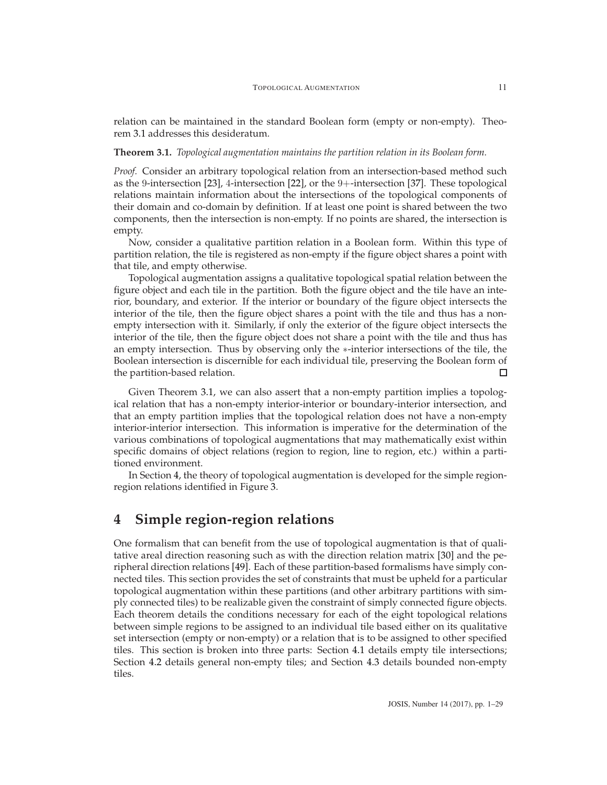relation can be maintained in the standard Boolean form (empty or non-empty). Theorem [3.1](#page-10-1) addresses this desideratum.

#### <span id="page-10-1"></span>**Theorem 3.1.** *Topological augmentation maintains the partition relation in its Boolean form.*

*Proof.* Consider an arbitrary topological relation from an intersection-based method such as the 9-intersection [\[23\]](#page-25-10), 4-intersection [\[22\]](#page-25-9), or the 9+-intersection [\[37\]](#page-26-9). These topological relations maintain information about the intersections of the topological components of their domain and co-domain by definition. If at least one point is shared between the two components, then the intersection is non-empty. If no points are shared, the intersection is empty.

Now, consider a qualitative partition relation in a Boolean form. Within this type of partition relation, the tile is registered as non-empty if the figure object shares a point with that tile, and empty otherwise.

Topological augmentation assigns a qualitative topological spatial relation between the figure object and each tile in the partition. Both the figure object and the tile have an interior, boundary, and exterior. If the interior or boundary of the figure object intersects the interior of the tile, then the figure object shares a point with the tile and thus has a nonempty intersection with it. Similarly, if only the exterior of the figure object intersects the interior of the tile, then the figure object does not share a point with the tile and thus has an empty intersection. Thus by observing only the ∗-interior intersections of the tile, the Boolean intersection is discernible for each individual tile, preserving the Boolean form of the partition-based relation. п

Given Theorem [3.1,](#page-10-1) we can also assert that a non-empty partition implies a topological relation that has a non-empty interior-interior or boundary-interior intersection, and that an empty partition implies that the topological relation does not have a non-empty interior-interior intersection. This information is imperative for the determination of the various combinations of topological augmentations that may mathematically exist within specific domains of object relations (region to region, line to region, etc.) within a partitioned environment.

In Section [4,](#page-10-0) the theory of topological augmentation is developed for the simple regionregion relations identified in Figure [3.](#page-2-1)

## <span id="page-10-0"></span>**4 Simple region-region relations**

One formalism that can benefit from the use of topological augmentation is that of qualitative areal direction reasoning such as with the direction relation matrix [\[30\]](#page-25-1) and the peripheral direction relations [\[49\]](#page-27-3). Each of these partition-based formalisms have simply connected tiles. This section provides the set of constraints that must be upheld for a particular topological augmentation within these partitions (and other arbitrary partitions with simply connected tiles) to be realizable given the constraint of simply connected figure objects. Each theorem details the conditions necessary for each of the eight topological relations between simple regions to be assigned to an individual tile based either on its qualitative set intersection (empty or non-empty) or a relation that is to be assigned to other specified tiles. This section is broken into three parts: Section [4.1](#page-11-0) details empty tile intersections; Section [4.2](#page-13-0) details general non-empty tiles; and Section [4.3](#page-15-0) details bounded non-empty tiles.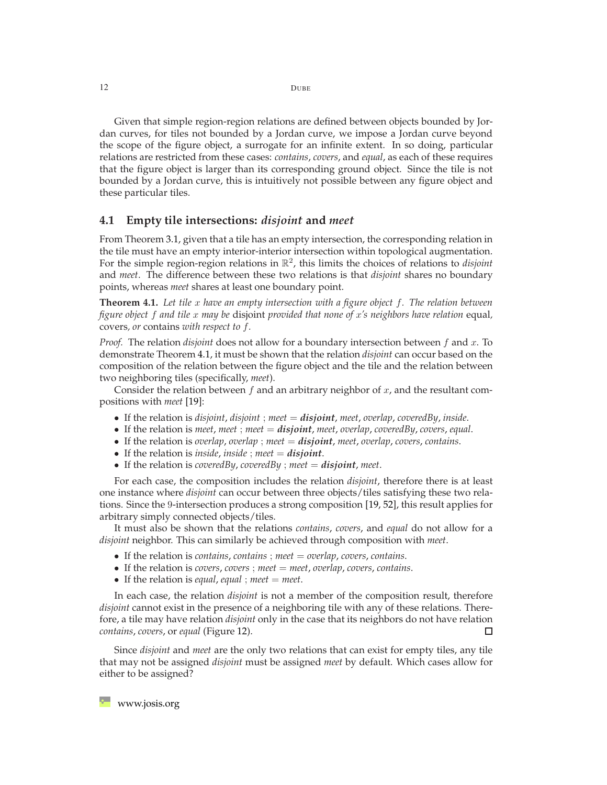Given that simple region-region relations are defined between objects bounded by Jordan curves, for tiles not bounded by a Jordan curve, we impose a Jordan curve beyond the scope of the figure object, a surrogate for an infinite extent. In so doing, particular relations are restricted from these cases: *contains*, *covers*, and *equal*, as each of these requires that the figure object is larger than its corresponding ground object. Since the tile is not bounded by a Jordan curve, this is intuitively not possible between any figure object and these particular tiles.

#### <span id="page-11-0"></span>**4.1 Empty tile intersections:** *disjoint* **and** *meet*

From Theorem [3.1,](#page-10-1) given that a tile has an empty intersection, the corresponding relation in the tile must have an empty interior-interior intersection within topological augmentation. For the simple region-region relations in R<sup>2</sup>, this limits the choices of relations to *disjoint* and *meet*. The difference between these two relations is that *disjoint* shares no boundary points, whereas *meet* shares at least one boundary point.

<span id="page-11-1"></span>**Theorem 4.1.** *Let tile* x *have an empty intersection with a figure object* f*. The relation between figure object* f *and tile* x *may be* disjoint *provided that none of* x*'s neighbors have relation* equal*,* covers*, or* contains *with respect to* f*.*

*Proof.* The relation *disjoint* does not allow for a boundary intersection between f and x. To demonstrate Theorem [4.1,](#page-11-1) it must be shown that the relation *disjoint* can occur based on the composition of the relation between the figure object and the tile and the relation between two neighboring tiles (specifically, *meet*).

Consider the relation between  $f$  and an arbitrary neighbor of  $x$ , and the resultant compositions with *meet* [\[19\]](#page-24-9):

- If the relation is *disjoint*, *disjoint* ; *meet* <sup>=</sup> *disjoint*, *meet*, *overlap*, *coveredBy*, *inside*.
- If the relation is *meet*, *meet* ; *meet* <sup>=</sup> *disjoint*, *meet*, *overlap*, *coveredBy*, *covers*, *equal*.
- If the relation is *overlap*, *overlap* ; *meet* <sup>=</sup> *disjoint*, *meet*, *overlap*, *covers*, *contains*.
- If the relation is *inside*, *inside* ; *meet* <sup>=</sup> *disjoint*.
- If the relation is *coveredBy*, *coveredBy* ; *meet* <sup>=</sup> *disjoint*, *meet*.

For each case, the composition includes the relation *disjoint*, therefore there is at least one instance where *disjoint* can occur between three objects/tiles satisfying these two relations. Since the 9-intersection produces a strong composition [\[19,](#page-24-9) [52\]](#page-27-5), this result applies for arbitrary simply connected objects/tiles.

It must also be shown that the relations *contains*, *covers*, and *equal* do not allow for a *disjoint* neighbor. This can similarly be achieved through composition with *meet*.

- If the relation is *contains*, *contains* ; *meet* = *overlap*, *covers*, *contains*.
- If the relation is *covers*, *covers* ; *meet* = *meet*, *overlap*, *covers*, *contains*.
- If the relation is *equal*, *equal* ; *meet* = *meet*.

In each case, the relation *disjoint* is not a member of the composition result, therefore *disjoint* cannot exist in the presence of a neighboring tile with any of these relations. Therefore, a tile may have relation *disjoint* only in the case that its neighbors do not have relation *contains*, *covers*, or *equal* (Figure [12\)](#page-12-0). □

Since *disjoint* and *meet* are the only two relations that can exist for empty tiles, any tile that may not be assigned *disjoint* must be assigned *meet* by default. Which cases allow for either to be assigned?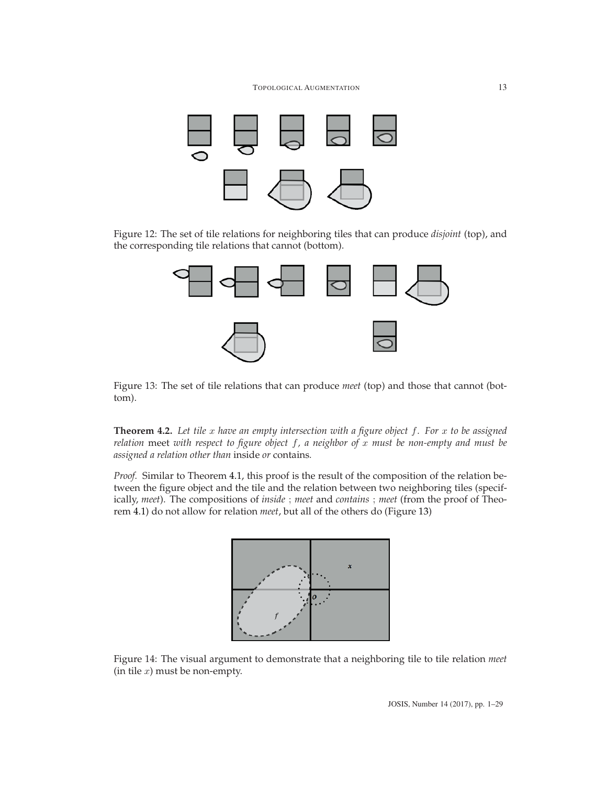

Figure 12: The set of tile relations for neighboring tiles that can produce *disjoint* (top), and the corresponding tile relations that cannot (bottom).

<span id="page-12-0"></span>

<span id="page-12-1"></span>Figure 13: The set of tile relations that can produce *meet* (top) and those that cannot (bottom).

<span id="page-12-3"></span>**Theorem 4.2.** *Let tile* x *have an empty intersection with a figure object* f*. For* x *to be assigned relation* meet *with respect to figure object* f*, a neighbor of* x *must be non-empty and must be assigned a relation other than* inside *or* contains*.*

*Proof.* Similar to Theorem [4.1,](#page-11-1) this proof is the result of the composition of the relation between the figure object and the tile and the relation between two neighboring tiles (specifically, *meet*). The compositions of *inside* ; *meet* and *contains* ; *meet* (from the proof of Theorem [4.1\)](#page-11-1) do not allow for relation *meet*, but all of the others do (Figure [13\)](#page-12-1)



<span id="page-12-2"></span>Figure 14: The visual argument to demonstrate that a neighboring tile to tile relation *meet* (in tile  $x$ ) must be non-empty.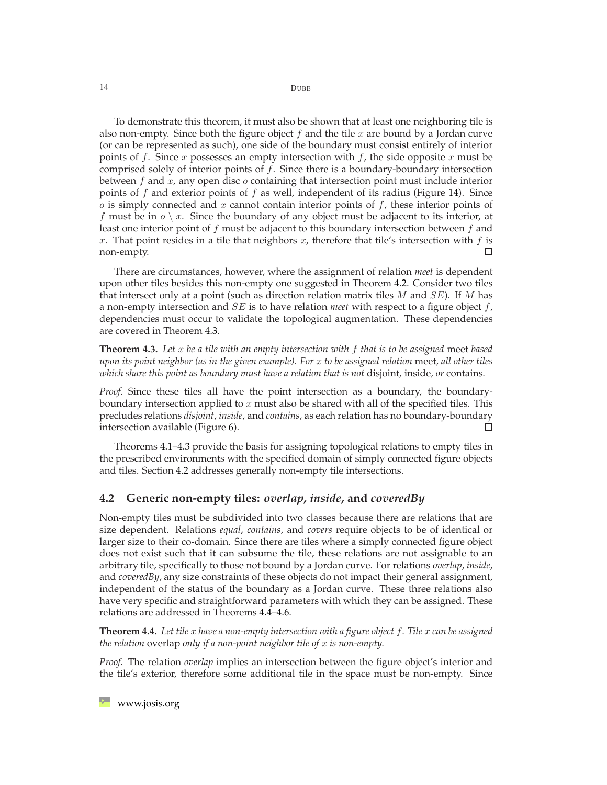To demonstrate this theorem, it must also be shown that at least one neighboring tile is also non-empty. Since both the figure object  $f$  and the tile  $x$  are bound by a Jordan curve (or can be represented as such), one side of the boundary must consist entirely of interior points of f. Since x possesses an empty intersection with f, the side opposite x must be comprised solely of interior points of  $f$ . Since there is a boundary-boundary intersection between  $f$  and  $x$ , any open disc  $o$  containing that intersection point must include interior points of f and exterior points of f as well, independent of its radius (Figure [14\)](#page-12-2). Since  $o$  is simply connected and  $x$  cannot contain interior points of  $f$ , these interior points of f must be in  $o \setminus x$ . Since the boundary of any object must be adjacent to its interior, at least one interior point of  $f$  must be adjacent to this boundary intersection between  $f$  and x. That point resides in a tile that neighbors x, therefore that tile's intersection with  $f$  is non-empty. □

There are circumstances, however, where the assignment of relation *meet* is dependent upon other tiles besides this non-empty one suggested in Theorem [4.2.](#page-12-3) Consider two tiles that intersect only at a point (such as direction relation matrix tiles  $M$  and  $SE$ ). If  $M$  has a non-empty intersection and SE is to have relation *meet* with respect to a figure object f, dependencies must occur to validate the topological augmentation. These dependencies are covered in Theorem [4.3.](#page-13-1)

<span id="page-13-1"></span>**Theorem 4.3.** *Let* x *be a tile with an empty intersection with* f *that is to be assigned* meet *based upon its point neighbor (as in the given example). For* x *to be assigned relation* meet*, all other tiles which share this point as boundary must have a relation that is not* disjoint*,* inside*, or* contains*.*

*Proof.* Since these tiles all have the point intersection as a boundary, the boundaryboundary intersection applied to  $x$  must also be shared with all of the specified tiles. This precludes relations *disjoint*, *inside*, and *contains*, as each relation has no boundary-boundary intersection available (Figure [6\)](#page-6-0). □

Theorems [4.1](#page-11-1)[–4.3](#page-13-1) provide the basis for assigning topological relations to empty tiles in the prescribed environments with the specified domain of simply connected figure objects and tiles. Section [4.2](#page-13-0) addresses generally non-empty tile intersections.

#### <span id="page-13-0"></span>**4.2 Generic non-empty tiles:** *overlap***,** *inside***, and** *coveredBy*

Non-empty tiles must be subdivided into two classes because there are relations that are size dependent. Relations *equal*, *contains*, and *covers* require objects to be of identical or larger size to their co-domain. Since there are tiles where a simply connected figure object does not exist such that it can subsume the tile, these relations are not assignable to an arbitrary tile, specifically to those not bound by a Jordan curve. For relations *overlap*, *inside*, and *coveredBy*, any size constraints of these objects do not impact their general assignment, independent of the status of the boundary as a Jordan curve. These three relations also have very specific and straightforward parameters with which they can be assigned. These relations are addressed in Theorems [4.4](#page-13-2)[–4.6.](#page-14-0)

<span id="page-13-2"></span>**Theorem 4.4.** *Let tile* x *have a non-empty intersection with a figure object* f*. Tile* x *can be assigned the relation* overlap *only if a non-point neighbor tile of* x *is non-empty.*

*Proof.* The relation *overlap* implies an intersection between the figure object's interior and the tile's exterior, therefore some additional tile in the space must be non-empty. Since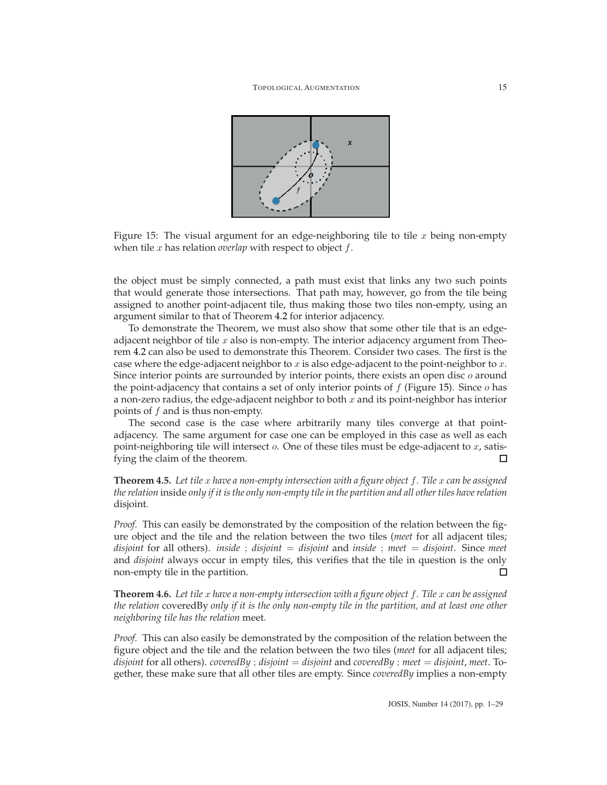

<span id="page-14-1"></span>Figure 15: The visual argument for an edge-neighboring tile to tile  $x$  being non-empty when tile x has relation *overlap* with respect to object f.

the object must be simply connected, a path must exist that links any two such points that would generate those intersections. That path may, however, go from the tile being assigned to another point-adjacent tile, thus making those two tiles non-empty, using an argument similar to that of Theorem [4.2](#page-12-3) for interior adjacency.

To demonstrate the Theorem, we must also show that some other tile that is an edgeadjacent neighbor of tile  $x$  also is non-empty. The interior adjacency argument from Theorem [4.2](#page-12-3) can also be used to demonstrate this Theorem. Consider two cases. The first is the case where the edge-adjacent neighbor to  $x$  is also edge-adjacent to the point-neighbor to  $x$ . Since interior points are surrounded by interior points, there exists an open disc  $o$  around the point-adjacency that contains a set of only interior points of  $f$  (Figure [15\)](#page-14-1). Since  $o$  has a non-zero radius, the edge-adjacent neighbor to both  $x$  and its point-neighbor has interior points of  $f$  and is thus non-empty.

The second case is the case where arbitrarily many tiles converge at that pointadjacency. The same argument for case one can be employed in this case as well as each point-neighboring tile will intersect  $o$ . One of these tiles must be edge-adjacent to  $x$ , satisfying the claim of the theorem.  $\Box$ 

**Theorem 4.5.** Let tile x have a non-empty intersection with a figure object f. Tile x can be assigned *the relation* inside *only if it is the only non-empty tile in the partition and all other tiles have relation* disjoint*.*

*Proof.* This can easily be demonstrated by the composition of the relation between the figure object and the tile and the relation between the two tiles (*meet* for all adjacent tiles; *disjoint* for all others). *inside* ; *disjoint* = *disjoint* and *inside* ; *meet* = *disjoint*. Since *meet* and *disjoint* always occur in empty tiles, this verifies that the tile in question is the only non-empty tile in the partition. □

<span id="page-14-0"></span>**Theorem 4.6.** *Let tile* x *have a non-empty intersection with a figure object* f*. Tile* x *can be assigned the relation* coveredBy *only if it is the only non-empty tile in the partition, and at least one other neighboring tile has the relation* meet*.*

*Proof.* This can also easily be demonstrated by the composition of the relation between the figure object and the tile and the relation between the two tiles (*meet* for all adjacent tiles; *disjoint* for all others). *coveredBy* ; *disjoint* = *disjoint* and *coveredBy* ; *meet* = *disjoint*, *meet*. Together, these make sure that all other tiles are empty. Since *coveredBy* implies a non-empty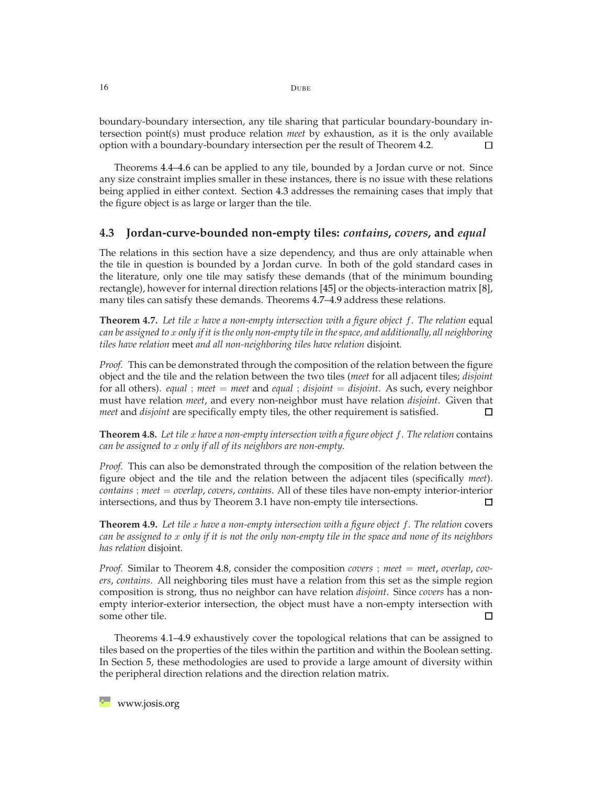boundary-boundary intersection, any tile sharing that particular boundary-boundary intersection point(s) must produce relation *meet* by exhaustion, as it is the only available option with a boundary-boundary intersection per the result of Theorem [4.2.](#page-12-3)  $\Box$ 

Theorems [4.4–](#page-13-2)[4.6](#page-14-0) can be applied to any tile, bounded by a Jordan curve or not. Since any size constraint implies smaller in these instances, there is no issue with these relations being applied in either context. Section [4.3](#page-15-0) addresses the remaining cases that imply that the figure object is as large or larger than the tile.

#### <span id="page-15-0"></span>**4.3 Jordan-curve-bounded non-empty tiles:** *contains***,** *covers***, and** *equal*

The relations in this section have a size dependency, and thus are only attainable when the tile in question is bounded by a Jordan curve. In both of the gold standard cases in the literature, only one tile may satisfy these demands (that of the minimum bounding rectangle), however for internal direction relations [\[45\]](#page-26-7) or the objects-interaction matrix [\[8\]](#page-24-8), many tiles can satisfy these demands. Theorems [4.7](#page-15-1)[–4.9](#page-15-2) address these relations.

<span id="page-15-1"></span>**Theorem 4.7.** Let tile x have a non-empty intersection with a figure object f. The relation equal *can be assigned to* x *only if it is the only non-empty tile in the space, and additionally, all neighboring tiles have relation* meet *and all non-neighboring tiles have relation* disjoint*.*

*Proof.* This can be demonstrated through the composition of the relation between the figure object and the tile and the relation between the two tiles (*meet* for all adjacent tiles; *disjoint* for all others). *equal* ; *meet* = *meet* and *equal* ; *disjoint* = *disjoint*. As such, every neighbor must have relation *meet*, and every non-neighbor must have relation *disjoint*. Given that *meet* and *disjoint* are specifically empty tiles, the other requirement is satisfied. □

<span id="page-15-3"></span>**Theorem 4.8.** *Let tile* x *have a non-empty intersection with a figure object* f*. The relation* contains *can be assigned to* x *only if all of its neighbors are non-empty.*

*Proof.* This can also be demonstrated through the composition of the relation between the figure object and the tile and the relation between the adjacent tiles (specifically *meet*). *contains* ; *meet* = *overlap*, *covers*, *contains*. All of these tiles have non-empty interior-interior intersections, and thus by Theorem [3.1](#page-10-1) have non-empty tile intersections. П

<span id="page-15-2"></span>**Theorem 4.9.** *Let tile* x *have a non-empty intersection with a figure object* f*. The relation* covers *can be assigned to* x *only if it is not the only non-empty tile in the space and none of its neighbors has relation* disjoint*.*

*Proof.* Similar to Theorem [4.8,](#page-15-3) consider the composition *covers* ; *meet* = *meet*, *overlap*, *covers*, *contains*. All neighboring tiles must have a relation from this set as the simple region composition is strong, thus no neighbor can have relation *disjoint*. Since *covers* has a nonempty interior-exterior intersection, the object must have a non-empty intersection with some other tile. □

Theorems [4.1–](#page-11-1)[4.9](#page-15-2) exhaustively cover the topological relations that can be assigned to tiles based on the properties of the tiles within the partition and within the Boolean setting. In Section [5,](#page-16-0) these methodologies are used to provide a large amount of diversity within the peripheral direction relations and the direction relation matrix.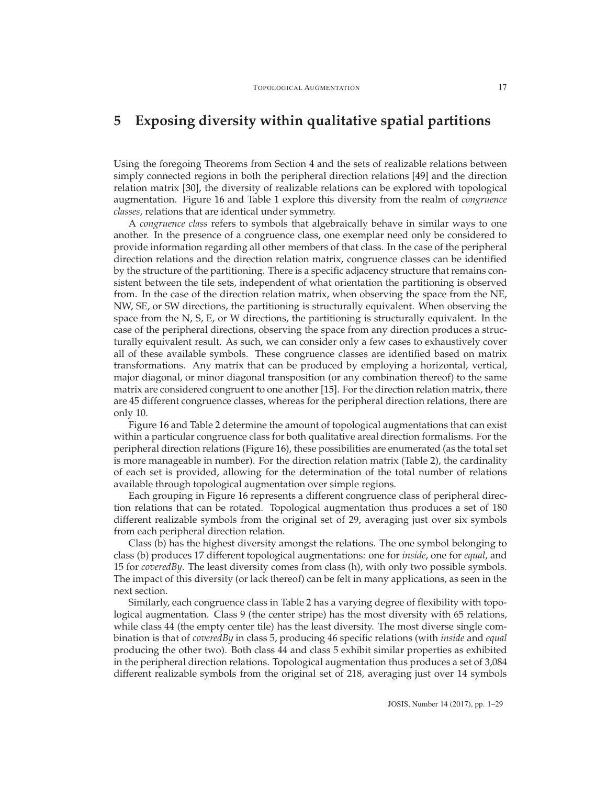# <span id="page-16-0"></span>**5 Exposing diversity within qualitative spatial partitions**

Using the foregoing Theorems from Section [4](#page-10-0) and the sets of realizable relations between simply connected regions in both the peripheral direction relations [\[49\]](#page-27-3) and the direction relation matrix [\[30\]](#page-25-1), the diversity of realizable relations can be explored with topological augmentation. Figure [16](#page-17-0) and Table [1](#page-18-0) explore this diversity from the realm of *congruence classes*, relations that are identical under symmetry.

A *congruence class* refers to symbols that algebraically behave in similar ways to one another. In the presence of a congruence class, one exemplar need only be considered to provide information regarding all other members of that class. In the case of the peripheral direction relations and the direction relation matrix, congruence classes can be identified by the structure of the partitioning. There is a specific adjacency structure that remains consistent between the tile sets, independent of what orientation the partitioning is observed from. In the case of the direction relation matrix, when observing the space from the NE, NW, SE, or SW directions, the partitioning is structurally equivalent. When observing the space from the N, S, E, or W directions, the partitioning is structurally equivalent. In the case of the peripheral directions, observing the space from any direction produces a structurally equivalent result. As such, we can consider only a few cases to exhaustively cover all of these available symbols. These congruence classes are identified based on matrix transformations. Any matrix that can be produced by employing a horizontal, vertical, major diagonal, or minor diagonal transposition (or any combination thereof) to the same matrix are considered congruent to one another [\[15\]](#page-24-10). For the direction relation matrix, there are 45 different congruence classes, whereas for the peripheral direction relations, there are only 10.

Figure [16](#page-17-0) and Table [2](#page-20-0) determine the amount of topological augmentations that can exist within a particular congruence class for both qualitative areal direction formalisms. For the peripheral direction relations (Figure [16\)](#page-17-0), these possibilities are enumerated (as the total set is more manageable in number). For the direction relation matrix (Table [2\)](#page-20-0), the cardinality of each set is provided, allowing for the determination of the total number of relations available through topological augmentation over simple regions.

Each grouping in Figure [16](#page-17-0) represents a different congruence class of peripheral direction relations that can be rotated. Topological augmentation thus produces a set of 180 different realizable symbols from the original set of 29, averaging just over six symbols from each peripheral direction relation.

Class (b) has the highest diversity amongst the relations. The one symbol belonging to class (b) produces 17 different topological augmentations: one for *inside*, one for *equal*, and 15 for *coveredBy*. The least diversity comes from class (h), with only two possible symbols. The impact of this diversity (or lack thereof) can be felt in many applications, as seen in the next section.

Similarly, each congruence class in Table [2](#page-20-0) has a varying degree of flexibility with topological augmentation. Class 9 (the center stripe) has the most diversity with 65 relations, while class 44 (the empty center tile) has the least diversity. The most diverse single combination is that of *coveredBy* in class 5, producing 46 specific relations (with *inside* and *equal* producing the other two). Both class 44 and class 5 exhibit similar properties as exhibited in the peripheral direction relations. Topological augmentation thus produces a set of 3,084 different realizable symbols from the original set of 218, averaging just over 14 symbols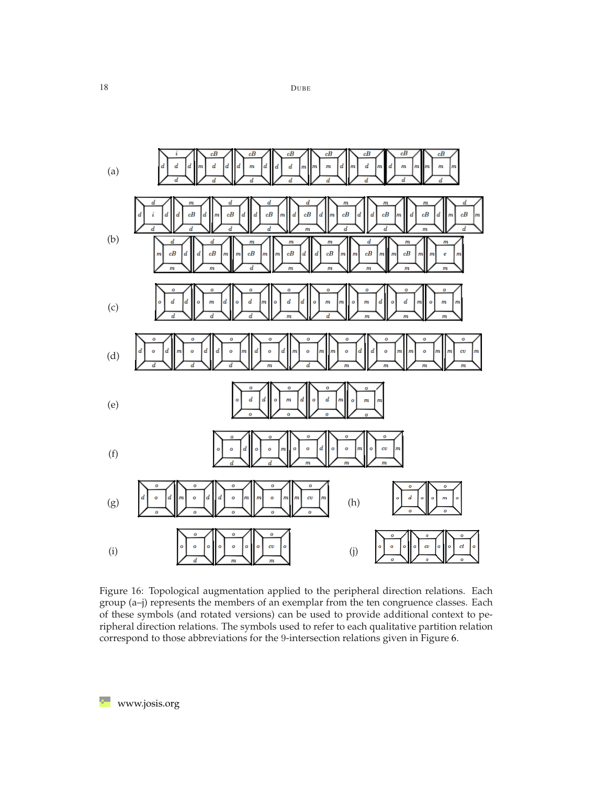

<span id="page-17-0"></span>Figure 16: Topological augmentation applied to the peripheral direction relations. Each group (a–j) represents the members of an exemplar from the ten congruence classes. Each of these symbols (and rotated versions) can be used to provide additional context to peripheral direction relations. The symbols used to refer to each qualitative partition relation correspond to those abbreviations for the 9-intersection relations given in Figure [6.](#page-6-0)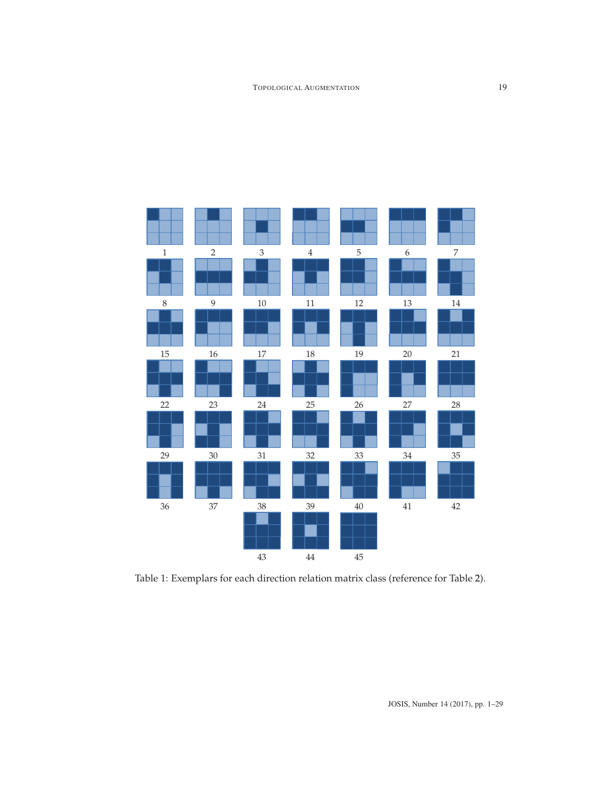

<span id="page-18-0"></span>Table 1: Exemplars for each direction relation matrix class (reference for Table [2\)](#page-20-0).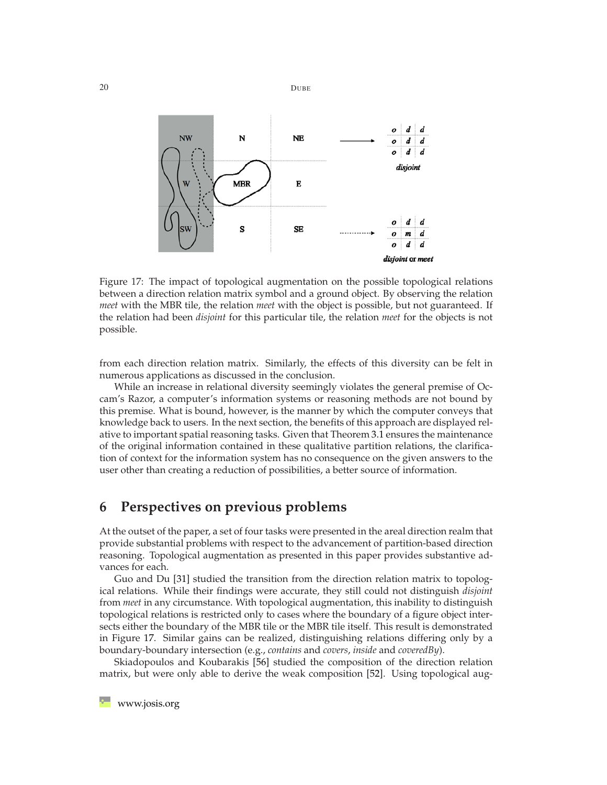

<span id="page-19-1"></span>Figure 17: The impact of topological augmentation on the possible topological relations between a direction relation matrix symbol and a ground object. By observing the relation *meet* with the MBR tile, the relation *meet* with the object is possible, but not guaranteed. If the relation had been *disjoint* for this particular tile, the relation *meet* for the objects is not possible.

from each direction relation matrix. Similarly, the effects of this diversity can be felt in numerous applications as discussed in the conclusion.

While an increase in relational diversity seemingly violates the general premise of Occam's Razor, a computer's information systems or reasoning methods are not bound by this premise. What is bound, however, is the manner by which the computer conveys that knowledge back to users. In the next section, the benefits of this approach are displayed relative to important spatial reasoning tasks. Given that Theorem [3.1](#page-10-1) ensures the maintenance of the original information contained in these qualitative partition relations, the clarification of context for the information system has no consequence on the given answers to the user other than creating a reduction of possibilities, a better source of information.

## <span id="page-19-0"></span>**6 Perspectives on previous problems**

At the outset of the paper, a set of four tasks were presented in the areal direction realm that provide substantial problems with respect to the advancement of partition-based direction reasoning. Topological augmentation as presented in this paper provides substantive advances for each.

Guo and Du [\[31\]](#page-25-3) studied the transition from the direction relation matrix to topological relations. While their findings were accurate, they still could not distinguish *disjoint* from *meet* in any circumstance. With topological augmentation, this inability to distinguish topological relations is restricted only to cases where the boundary of a figure object intersects either the boundary of the MBR tile or the MBR tile itself. This result is demonstrated in Figure [17.](#page-19-1) Similar gains can be realized, distinguishing relations differing only by a boundary-boundary intersection (e.g., *contains* and *covers*, *inside* and *coveredBy*).

Skiadopoulos and Koubarakis [\[56\]](#page-27-7) studied the composition of the direction relation matrix, but were only able to derive the weak composition [\[52\]](#page-27-5). Using topological aug-

20 DUBE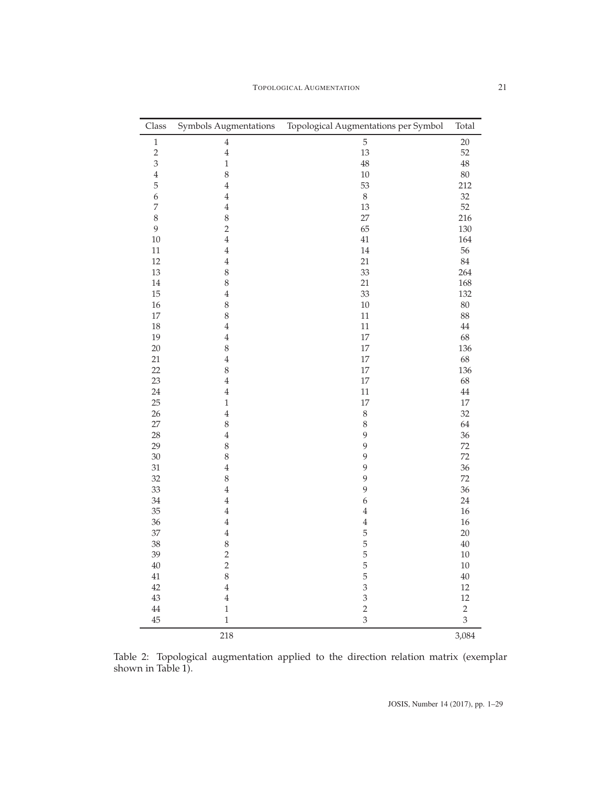| Class          | Symbols Augmentations | Topological Augmentations per Symbol | Total      |
|----------------|-----------------------|--------------------------------------|------------|
| $\,1$          | $\bf 4$               | $\mathbf 5$                          | 20         |
| $\overline{c}$ | $\,4$                 | 13                                   | 52         |
| 3              | $\mathbf 1$           | 48                                   | $48\,$     |
| $\,4$          | 8                     | $10\,$                               | 80         |
| 5              | $\overline{4}$        | 53                                   | 212        |
| 6              | $\overline{4}$        | $\,8\,$                              | 32         |
| $\overline{7}$ | $\overline{4}$        | 13                                   | 52         |
| 8              | 8                     | 27                                   | 216        |
| 9              | $\overline{c}$        | 65                                   | 130        |
| $10\,$         | $\overline{4}$        | 41                                   | 164        |
| $11\,$         | $\overline{4}$        | 14                                   | 56         |
| 12             | $\overline{4}$        | 21                                   | $84\,$     |
| 13             | 8                     | 33                                   | 264        |
| 14             | 8                     | 21                                   | 168        |
| 15             | $\overline{4}$        | 33                                   | 132        |
| 16             | 8                     | $10\,$                               | $80\,$     |
| 17             | 8                     | 11                                   | 88         |
| 18             | $\overline{4}$        | $11\,$                               | $44\,$     |
| 19             | $\overline{4}$        | 17                                   | 68         |
| 20             | 8                     | 17                                   | 136        |
| 21             | $\overline{4}$        | $17\,$                               | 68         |
| 22             | 8                     | $17\,$                               | 136        |
| 23             | $\overline{4}$        | $17\,$                               | 68         |
| 24             | $\overline{4}$        | 11                                   | $\rm 44$   |
| 25             | $\,1$                 | 17                                   | $17\,$     |
| 26             | $\overline{4}$        | $\,8\,$                              | 32         |
| 27             | 8                     | $\,8\,$                              | 64         |
| 28             | $\overline{4}$        | 9                                    | 36         |
| 29             | 8                     | 9                                    | 72         |
| 30             | 8                     | 9                                    | 72         |
| $31\,$         | $\overline{4}$        | 9                                    | 36         |
| 32             | 8                     | $\mathbf{9}$                         | 72         |
| 33             | $\overline{4}$        | 9                                    | 36         |
| 34             | $\overline{4}$        | 6                                    | 24         |
| 35             | $\overline{4}$        | $\sqrt{4}$                           | $16\,$     |
| 36             | $\overline{4}$        | $\sqrt{4}$                           | 16         |
| 37             | $\overline{4}$        | 5                                    | $20\,$     |
| 38             | 8                     |                                      | $40\,$     |
| 39             | $\overline{c}$        | $\frac{5}{5}$                        | $10\,$     |
| $40\,$         | $\overline{c}$        |                                      | 10         |
| 41             | 8                     | $\frac{5}{5}$                        | $40\,$     |
| 42             | $\overline{4}$        | $\overline{\mathbf{3}}$              | 12         |
| 43             | $\overline{4}$        |                                      | 12         |
| $44\,$         | $\,1$                 | $\frac{3}{2}$                        | $\sqrt{2}$ |
| 45             | $\mathbf{1}$          | $\overline{3}$                       | 3          |
|                | 218                   |                                      | 3,084      |

<span id="page-20-0"></span>Table 2: Topological augmentation applied to the direction relation matrix (exemplar shown in Table [1\)](#page-18-0).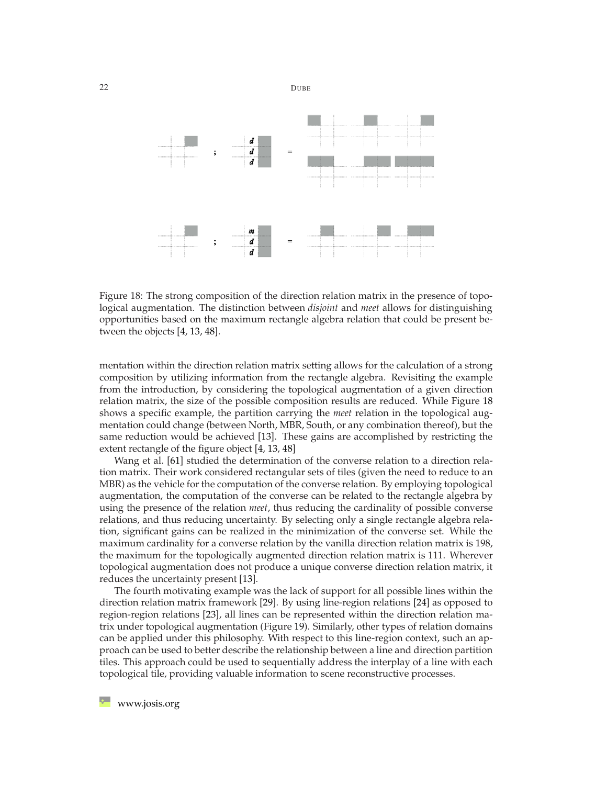

<span id="page-21-0"></span>Figure 18: The strong composition of the direction relation matrix in the presence of topological augmentation. The distinction between *disjoint* and *meet* allows for distinguishing opportunities based on the maximum rectangle algebra relation that could be present between the objects [\[4,](#page-23-6) [13,](#page-24-11) [48\]](#page-27-13).

mentation within the direction relation matrix setting allows for the calculation of a strong composition by utilizing information from the rectangle algebra. Revisiting the example from the introduction, by considering the topological augmentation of a given direction relation matrix, the size of the possible composition results are reduced. While Figure [18](#page-21-0) shows a specific example, the partition carrying the *meet* relation in the topological augmentation could change (between North, MBR, South, or any combination thereof), but the same reduction would be achieved [\[13\]](#page-24-11). These gains are accomplished by restricting the extent rectangle of the figure object [\[4,](#page-23-6) [13,](#page-24-11) [48\]](#page-27-13)

Wang et al. [\[61\]](#page-27-6) studied the determination of the converse relation to a direction relation matrix. Their work considered rectangular sets of tiles (given the need to reduce to an MBR) as the vehicle for the computation of the converse relation. By employing topological augmentation, the computation of the converse can be related to the rectangle algebra by using the presence of the relation *meet*, thus reducing the cardinality of possible converse relations, and thus reducing uncertainty. By selecting only a single rectangle algebra relation, significant gains can be realized in the minimization of the converse set. While the maximum cardinality for a converse relation by the vanilla direction relation matrix is 198, the maximum for the topologically augmented direction relation matrix is 111. Wherever topological augmentation does not produce a unique converse direction relation matrix, it reduces the uncertainty present [\[13\]](#page-24-11).

The fourth motivating example was the lack of support for all possible lines within the direction relation matrix framework [\[29\]](#page-25-6). By using line-region relations [\[24\]](#page-25-5) as opposed to region-region relations [\[23\]](#page-25-10), all lines can be represented within the direction relation matrix under topological augmentation (Figure [19\)](#page-22-1). Similarly, other types of relation domains can be applied under this philosophy. With respect to this line-region context, such an approach can be used to better describe the relationship between a line and direction partition tiles. This approach could be used to sequentially address the interplay of a line with each topological tile, providing valuable information to scene reconstructive processes.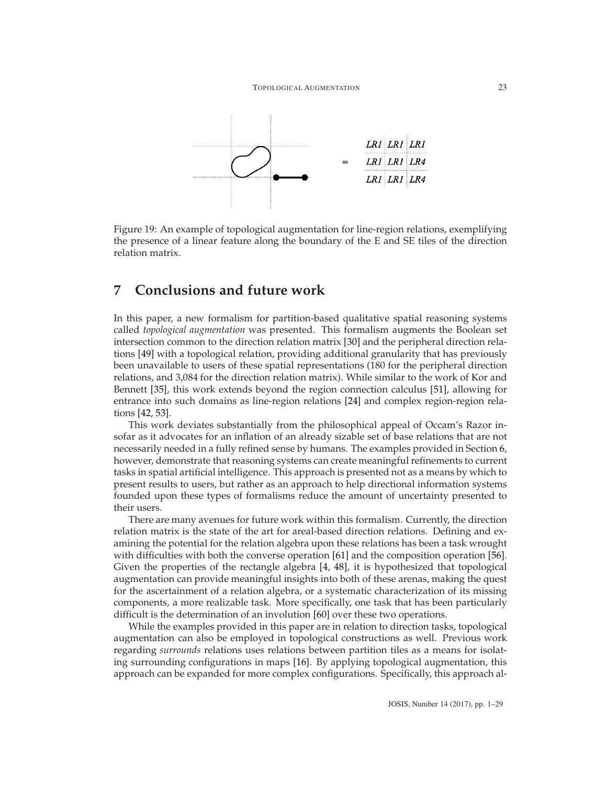

<span id="page-22-1"></span>Figure 19: An example of topological augmentation for line-region relations, exemplifying the presence of a linear feature along the boundary of the E and SE tiles of the direction relation matrix.

# <span id="page-22-0"></span>**7 Conclusions and future work**

In this paper, a new formalism for partition-based qualitative spatial reasoning systems called *topological augmentation* was presented. This formalism augments the Boolean set intersection common to the direction relation matrix [\[30\]](#page-25-1) and the peripheral direction relations [\[49\]](#page-27-3) with a topological relation, providing additional granularity that has previously been unavailable to users of these spatial representations (180 for the peripheral direction relations, and 3,084 for the direction relation matrix). While similar to the work of Kor and Bennett [\[35\]](#page-26-4), this work extends beyond the region connection calculus [\[51\]](#page-27-10), allowing for entrance into such domains as line-region relations [\[24\]](#page-25-5) and complex region-region relations [\[42,](#page-26-10) [53\]](#page-27-11).

This work deviates substantially from the philosophical appeal of Occam's Razor insofar as it advocates for an inflation of an already sizable set of base relations that are not necessarily needed in a fully refined sense by humans. The examples provided in Section [6,](#page-19-0) however, demonstrate that reasoning systems can create meaningful refinements to current tasks in spatial artificial intelligence. This approach is presented not as a means by which to present results to users, but rather as an approach to help directional information systems founded upon these types of formalisms reduce the amount of uncertainty presented to their users.

There are many avenues for future work within this formalism. Currently, the direction relation matrix is the state of the art for areal-based direction relations. Defining and examining the potential for the relation algebra upon these relations has been a task wrought with difficulties with both the converse operation [\[61\]](#page-27-6) and the composition operation [\[56\]](#page-27-7). Given the properties of the rectangle algebra [\[4,](#page-23-6) [48\]](#page-27-13), it is hypothesized that topological augmentation can provide meaningful insights into both of these arenas, making the quest for the ascertainment of a relation algebra, or a systematic characterization of its missing components, a more realizable task. More specifically, one task that has been particularly difficult is the determination of an involution [\[60\]](#page-27-4) over these two operations.

While the examples provided in this paper are in relation to direction tasks, topological augmentation can also be employed in topological constructions as well. Previous work regarding *surrounds* relations uses relations between partition tiles as a means for isolating surrounding configurations in maps [\[16\]](#page-24-12). By applying topological augmentation, this approach can be expanded for more complex configurations. Specifically, this approach al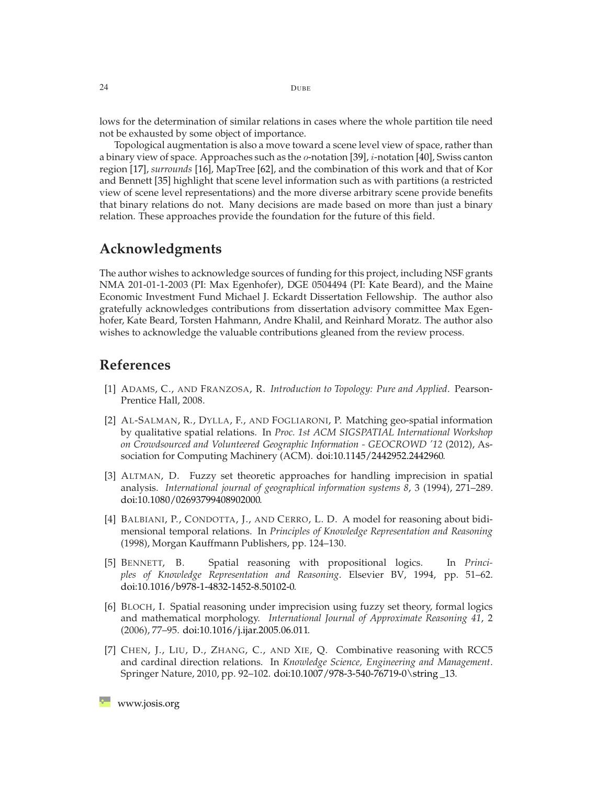lows for the determination of similar relations in cases where the whole partition tile need not be exhausted by some object of importance.

Topological augmentation is also a move toward a scene level view of space, rather than a binary view of space. Approaches such as the  $o$ -notation [\[39\]](#page-26-11),  $i$ -notation [\[40\]](#page-26-12), Swiss canton region [\[17\]](#page-24-2), *surrounds* [\[16\]](#page-24-12), MapTree [\[62\]](#page-27-14), and the combination of this work and that of Kor and Bennett [\[35\]](#page-26-4) highlight that scene level information such as with partitions (a restricted view of scene level representations) and the more diverse arbitrary scene provide benefits that binary relations do not. Many decisions are made based on more than just a binary relation. These approaches provide the foundation for the future of this field.

## **Acknowledgments**

The author wishes to acknowledge sources of funding for this project, including NSF grants NMA 201-01-1-2003 (PI: Max Egenhofer), DGE 0504494 (PI: Kate Beard), and the Maine Economic Investment Fund Michael J. Eckardt Dissertation Fellowship. The author also gratefully acknowledges contributions from dissertation advisory committee Max Egenhofer, Kate Beard, Torsten Hahmann, Andre Khalil, and Reinhard Moratz. The author also wishes to acknowledge the valuable contributions gleaned from the review process.

### <span id="page-23-5"></span>**References**

- <span id="page-23-0"></span>[1] ADAMS, C., AND FRANZOSA, R. *Introduction to Topology: Pure and Applied*. Pearson-Prentice Hall, 2008.
- [2] AL-SALMAN, R., DYLLA, F., AND FOGLIARONI, P. Matching geo-spatial information by qualitative spatial relations. In *Proc. 1st ACM SIGSPATIAL International Workshop on Crowdsourced and Volunteered Geographic Information - GEOCROWD '12* (2012), Association for Computing Machinery (ACM). [doi:10.1145/2442952.2442960.](http://dx.doi.org/10.1145/2442952.2442960)
- <span id="page-23-3"></span>[3] ALTMAN, D. Fuzzy set theoretic approaches for handling imprecision in spatial analysis. *International journal of geographical information systems 8*, 3 (1994), 271–289. [doi:10.1080/02693799408902000.](http://dx.doi.org/10.1080/02693799408902000)
- <span id="page-23-6"></span>[4] BALBIANI, P., CONDOTTA, J., AND CERRO, L. D. A model for reasoning about bidimensional temporal relations. In *Principles of Knowledge Representation and Reasoning* (1998), Morgan Kauffmann Publishers, pp. 124–130.
- <span id="page-23-1"></span>[5] BENNETT, B. Spatial reasoning with propositional logics. In *Principles of Knowledge Representation and Reasoning*. Elsevier BV, 1994, pp. 51–62. [doi:10.1016/b978-1-4832-1452-8.50102-0.](http://dx.doi.org/10.1016/b978-1-4832-1452-8.50102-0)
- <span id="page-23-4"></span>[6] BLOCH, I. Spatial reasoning under imprecision using fuzzy set theory, formal logics and mathematical morphology. *International Journal of Approximate Reasoning 41*, 2 (2006), 77–95. [doi:10.1016/j.ijar.2005.06.011.](http://dx.doi.org/10.1016/j.ijar.2005.06.011)
- <span id="page-23-2"></span>[7] CHEN, J., LIU, D., ZHANG, C., AND XIE, Q. Combinative reasoning with RCC5 and cardinal direction relations. In *Knowledge Science, Engineering and Management*. Springer Nature, 2010, pp. 92–102. [doi:10.1007/978-3-540-76719-0\string \\_13.](http://dx.doi.org/10.1007/978-3-540-76719-0_13)

**[www.josis.org](http://www.josis.org)**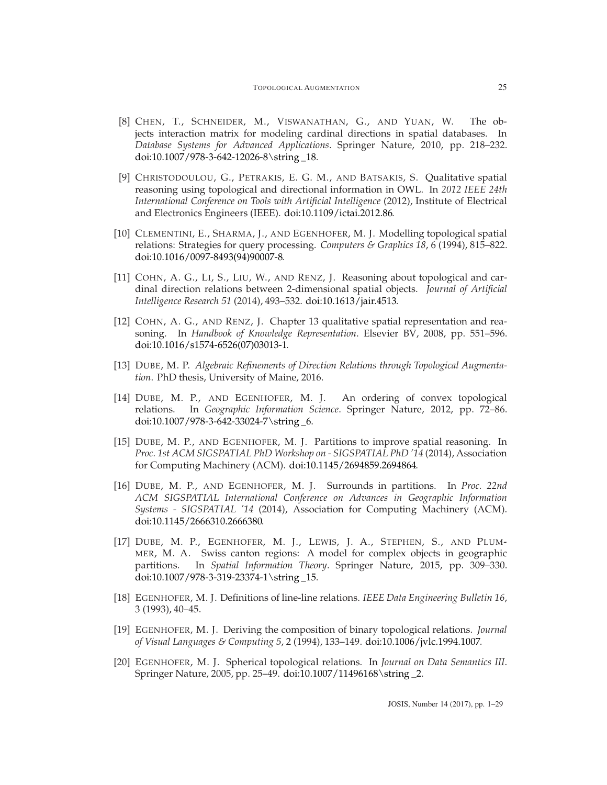- <span id="page-24-8"></span>[8] CHEN, T., SCHNEIDER, M., VISWANATHAN, G., AND YUAN, W. The objects interaction matrix for modeling cardinal directions in spatial databases. In *Database Systems for Advanced Applications*. Springer Nature, 2010, pp. 218–232. [doi:10.1007/978-3-642-12026-8\string \\_18.](http://dx.doi.org/10.1007/978-3-642-12026-8_18)
- <span id="page-24-3"></span>[9] CHRISTODOULOU, G., PETRAKIS, E. G. M., AND BATSAKIS, S. Qualitative spatial reasoning using topological and directional information in OWL. In *2012 IEEE 24th International Conference on Tools with Artificial Intelligence* (2012), Institute of Electrical and Electronics Engineers (IEEE). [doi:10.1109/ictai.2012.86.](http://dx.doi.org/10.1109/ictai.2012.86)
- <span id="page-24-1"></span>[10] CLEMENTINI, E., SHARMA, J., AND EGENHOFER, M. J. Modelling topological spatial relations: Strategies for query processing. *Computers & Graphics 18*, 6 (1994), 815–822. [doi:10.1016/0097-8493\(94\)90007-8.](http://dx.doi.org/10.1016/0097-8493(94)90007-8)
- <span id="page-24-4"></span>[11] COHN, A. G., LI, S., LIU, W., AND RENZ, J. Reasoning about topological and cardinal direction relations between 2-dimensional spatial objects. *Journal of Artificial Intelligence Research 51* (2014), 493–532. [doi:10.1613/jair.4513.](http://dx.doi.org/10.1613/jair.4513)
- <span id="page-24-0"></span>[12] COHN, A. G., AND RENZ, J. Chapter 13 qualitative spatial representation and reasoning. In *Handbook of Knowledge Representation*. Elsevier BV, 2008, pp. 551–596. [doi:10.1016/s1574-6526\(07\)03013-1.](http://dx.doi.org/10.1016/s1574-6526(07)03013-1)
- <span id="page-24-11"></span>[13] DUBE, M. P. *Algebraic Refinements of Direction Relations through Topological Augmentation*. PhD thesis, University of Maine, 2016.
- <span id="page-24-5"></span>[14] DUBE, M. P., AND EGENHOFER, M. J. An ordering of convex topological relations. In *Geographic Information Science*. Springer Nature, 2012, pp. 72–86. [doi:10.1007/978-3-642-33024-7\string \\_6.](http://dx.doi.org/10.1007/978-3-642-33024-7_6)
- <span id="page-24-10"></span>[15] DUBE, M. P., AND EGENHOFER, M. J. Partitions to improve spatial reasoning. In *Proc. 1st ACM SIGSPATIAL PhD Workshop on - SIGSPATIAL PhD '14* (2014), Association for Computing Machinery (ACM). [doi:10.1145/2694859.2694864.](http://dx.doi.org/10.1145/2694859.2694864)
- <span id="page-24-12"></span>[16] DUBE, M. P., AND EGENHOFER, M. J. Surrounds in partitions. In *Proc. 22nd ACM SIGSPATIAL International Conference on Advances in Geographic Information Systems - SIGSPATIAL '14* (2014), Association for Computing Machinery (ACM). [doi:10.1145/2666310.2666380.](http://dx.doi.org/10.1145/2666310.2666380)
- <span id="page-24-2"></span>[17] DUBE, M. P., EGENHOFER, M. J., LEWIS, J. A., STEPHEN, S., AND PLUM-MER, M. A. Swiss canton regions: A model for complex objects in geographic partitions. In *Spatial Information Theory*. Springer Nature, 2015, pp. 309–330. [doi:10.1007/978-3-319-23374-1\string \\_15.](http://dx.doi.org/10.1007/978-3-319-23374-1_15)
- <span id="page-24-6"></span>[18] EGENHOFER, M. J. Definitions of line-line relations. *IEEE Data Engineering Bulletin 16*, 3 (1993), 40–45.
- <span id="page-24-9"></span>[19] EGENHOFER, M. J. Deriving the composition of binary topological relations. *Journal of Visual Languages & Computing 5*, 2 (1994), 133–149. [doi:10.1006/jvlc.1994.1007.](http://dx.doi.org/10.1006/jvlc.1994.1007)
- <span id="page-24-7"></span>[20] EGENHOFER, M. J. Spherical topological relations. In *Journal on Data Semantics III*. Springer Nature, 2005, pp. 25–49. [doi:10.1007/11496168\string \\_2.](http://dx.doi.org/10.1007/11496168_2)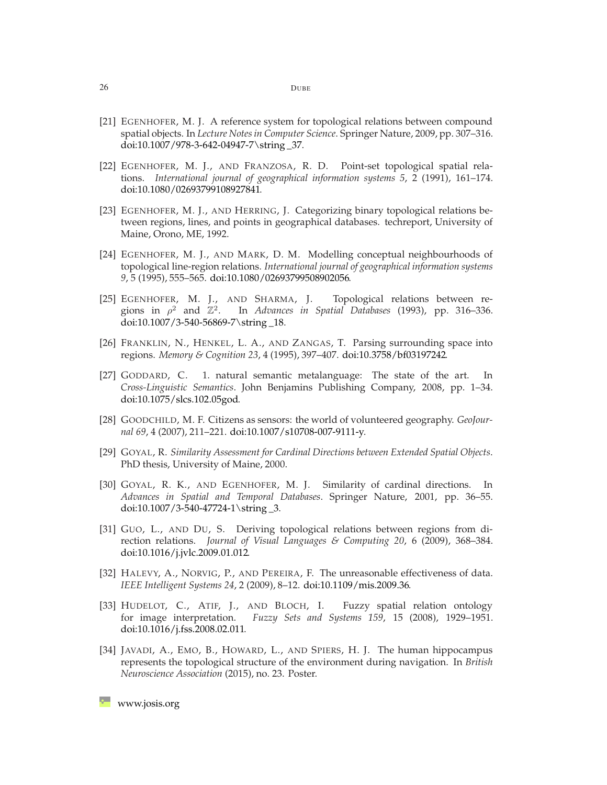- <span id="page-25-12"></span>[21] EGENHOFER, M. J. A reference system for topological relations between compound spatial objects. In *Lecture Notes in Computer Science*. Springer Nature, 2009, pp. 307–316. [doi:10.1007/978-3-642-04947-7\string \\_37.](http://dx.doi.org/10.1007/978-3-642-04947-7_37)
- <span id="page-25-9"></span>[22] EGENHOFER, M. J., AND FRANZOSA, R. D. Point-set topological spatial relations. *International journal of geographical information systems 5*, 2 (1991), 161–174. [doi:10.1080/02693799108927841.](http://dx.doi.org/10.1080/02693799108927841)
- <span id="page-25-10"></span>[23] EGENHOFER, M. J., AND HERRING, J. Categorizing binary topological relations between regions, lines, and points in geographical databases. techreport, University of Maine, Orono, ME, 1992.
- <span id="page-25-5"></span>[24] EGENHOFER, M. J., AND MARK, D. M. Modelling conceptual neighbourhoods of topological line-region relations. *International journal of geographical information systems 9*, 5 (1995), 555–565. [doi:10.1080/02693799508902056.](http://dx.doi.org/10.1080/02693799508902056)
- <span id="page-25-11"></span>[25] EGENHOFER, M. J., AND SHARMA, J. Topological relations between regions in  $\rho^2$  and  $\mathbb{Z}^2$ . In *Advances in Spatial Databases* (1993), pp. 316–336. [doi:10.1007/3-540-56869-7\string \\_18.](http://dx.doi.org/10.1007/3-540-56869-7_18)
- <span id="page-25-13"></span>[26] FRANKLIN, N., HENKEL, L. A., AND ZANGAS, T. Parsing surrounding space into regions. *Memory & Cognition 23*, 4 (1995), 397–407. [doi:10.3758/bf03197242.](http://dx.doi.org/10.3758/bf03197242)
- <span id="page-25-4"></span>[27] GODDARD, C. 1. natural semantic metalanguage: The state of the art. *Cross-Linguistic Semantics*. John Benjamins Publishing Company, 2008, pp. 1–34. [doi:10.1075/slcs.102.05god.](http://dx.doi.org/10.1075/slcs.102.05god)
- <span id="page-25-2"></span>[28] GOODCHILD, M. F. Citizens as sensors: the world of volunteered geography. *GeoJournal 69*, 4 (2007), 211–221. [doi:10.1007/s10708-007-9111-y.](http://dx.doi.org/10.1007/s10708-007-9111-y)
- <span id="page-25-6"></span>[29] GOYAL, R. *Similarity Assessment for Cardinal Directions between Extended Spatial Objects*. PhD thesis, University of Maine, 2000.
- <span id="page-25-1"></span>[30] GOYAL, R. K., AND EGENHOFER, M. J. Similarity of cardinal directions. In *Advances in Spatial and Temporal Databases*. Springer Nature, 2001, pp. 36–55. [doi:10.1007/3-540-47724-1\string \\_3.](http://dx.doi.org/10.1007/3-540-47724-1_3)
- <span id="page-25-3"></span>[31] GUO, L., AND DU, S. Deriving topological relations between regions from direction relations. *Journal of Visual Languages & Computing 20*, 6 (2009), 368–384. [doi:10.1016/j.jvlc.2009.01.012.](http://dx.doi.org/10.1016/j.jvlc.2009.01.012)
- <span id="page-25-7"></span>[32] HALEVY, A., NORVIG, P., AND PEREIRA, F. The unreasonable effectiveness of data. *IEEE Intelligent Systems 24*, 2 (2009), 8–12. [doi:10.1109/mis.2009.36.](http://dx.doi.org/10.1109/mis.2009.36)
- <span id="page-25-8"></span>[33] HUDELOT, C., ATIF, J., AND BLOCH, I. Fuzzy spatial relation ontology for image interpretation. *Fuzzy Sets and Systems 159*, 15 (2008), 1929–1951. [doi:10.1016/j.fss.2008.02.011.](http://dx.doi.org/10.1016/j.fss.2008.02.011)
- <span id="page-25-0"></span>[34] JAVADI, A., EMO, B., HOWARD, L., AND SPIERS, H. J. The human hippocampus represents the topological structure of the environment during navigation. In *British Neuroscience Association* (2015), no. 23. Poster.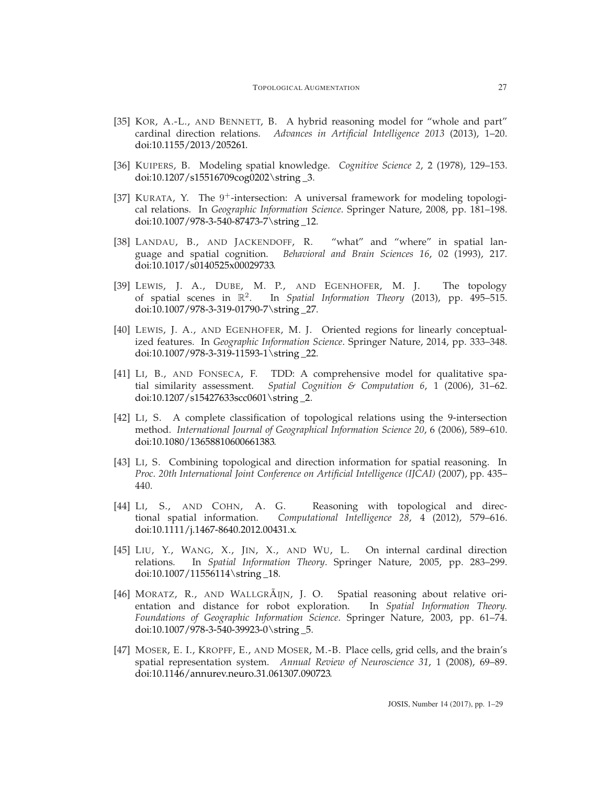- <span id="page-26-4"></span>[35] KOR, A.-L., AND BENNETT, B. A hybrid reasoning model for "whole and part" cardinal direction relations. *Advances in Artificial Intelligence 2013* (2013), 1–20. [doi:10.1155/2013/205261.](http://dx.doi.org/10.1155/2013/205261)
- <span id="page-26-0"></span>[36] KUIPERS, B. Modeling spatial knowledge. *Cognitive Science 2*, 2 (1978), 129–153. [doi:10.1207/s15516709cog0202\string \\_3.](http://dx.doi.org/10.1207/s15516709cog0202_3)
- <span id="page-26-9"></span>[37] KURATA, Y. The  $9^+$ -intersection: A universal framework for modeling topological relations. In *Geographic Information Science*. Springer Nature, 2008, pp. 181–198. [doi:10.1007/978-3-540-87473-7\string \\_12.](http://dx.doi.org/10.1007/978-3-540-87473-7_12)
- <span id="page-26-8"></span>[38] LANDAU, B., AND JACKENDOFF, R. "what" and "where" in spatial language and spatial cognition. *Behavioral and Brain Sciences 16*, 02 (1993), 217. [doi:10.1017/s0140525x00029733.](http://dx.doi.org/10.1017/s0140525x00029733)
- <span id="page-26-11"></span>[39] LEWIS, J. A., DUBE, M. P., AND EGENHOFER, M. J. The topology of spatial scenes in R<sup>2</sup>. In *Spatial Information Theory* (2013), pp. 495–515. [doi:10.1007/978-3-319-01790-7\string \\_27.](http://dx.doi.org/10.1007/978-3-319-01790-7_27)
- <span id="page-26-12"></span>[40] LEWIS, J. A., AND EGENHOFER, M. J. Oriented regions for linearly conceptualized features. In *Geographic Information Science*. Springer Nature, 2014, pp. 333–348. [doi:10.1007/978-3-319-11593-1\string \\_22.](http://dx.doi.org/10.1007/978-3-319-11593-1_22)
- <span id="page-26-2"></span>[41] LI, B., AND FONSECA, F. TDD: A comprehensive model for qualitative spatial similarity assessment. *Spatial Cognition & Computation 6*, 1 (2006), 31–62. [doi:10.1207/s15427633scc0601\string \\_2.](http://dx.doi.org/10.1207/s15427633scc0601_2)
- <span id="page-26-10"></span>[42] LI, S. A complete classification of topological relations using the 9-intersection method. *International Journal of Geographical Information Science 20*, 6 (2006), 589–610. [doi:10.1080/13658810600661383.](http://dx.doi.org/10.1080/13658810600661383)
- <span id="page-26-5"></span>[43] LI, S. Combining topological and direction information for spatial reasoning. In *Proc. 20th International Joint Conference on Artificial Intelligence (IJCAI)* (2007), pp. 435– 440.
- <span id="page-26-6"></span>[44] LI, S., AND COHN, A. G. Reasoning with topological and directional spatial information. *Computational Intelligence 28*, 4 (2012), 579–616. [doi:10.1111/j.1467-8640.2012.00431.x.](http://dx.doi.org/10.1111/j.1467-8640.2012.00431.x)
- <span id="page-26-7"></span>[45] LIU, Y., WANG, X., JIN, X., AND WU, L. On internal cardinal direction relations. In *Spatial Information Theory*. Springer Nature, 2005, pp. 283–299. [doi:10.1007/11556114\string \\_18.](http://dx.doi.org/10.1007/11556114_18)
- <span id="page-26-3"></span>[46] MORATZ, R., AND WALLGRÃIJN, J. O. Spatial reasoning about relative orientation and distance for robot exploration. In *Spatial Information Theory. Foundations of Geographic Information Science*. Springer Nature, 2003, pp. 61–74. [doi:10.1007/978-3-540-39923-0\string \\_5.](http://dx.doi.org/10.1007/978-3-540-39923-0_5)
- <span id="page-26-1"></span>[47] MOSER, E. I., KROPFF, E., AND MOSER, M.-B. Place cells, grid cells, and the brain's spatial representation system. *Annual Review of Neuroscience 31*, 1 (2008), 69–89. [doi:10.1146/annurev.neuro.31.061307.090723.](http://dx.doi.org/10.1146/annurev.neuro.31.061307.090723)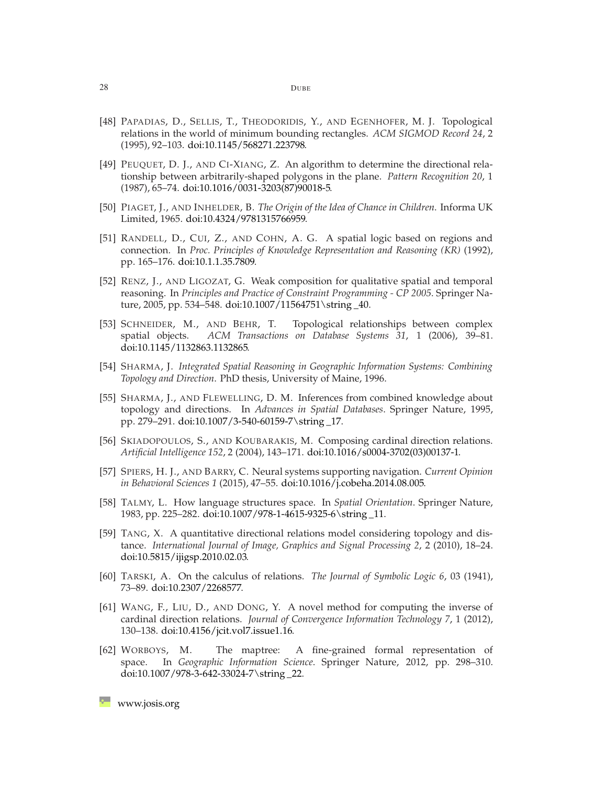- <span id="page-27-13"></span>[48] PAPADIAS, D., SELLIS, T., THEODORIDIS, Y., AND EGENHOFER, M. J. Topological relations in the world of minimum bounding rectangles. *ACM SIGMOD Record 24*, 2 (1995), 92–103. [doi:10.1145/568271.223798.](http://dx.doi.org/10.1145/568271.223798)
- <span id="page-27-3"></span>[49] PEUQUET, D. J., AND CI-XIANG, Z. An algorithm to determine the directional relationship between arbitrarily-shaped polygons in the plane. *Pattern Recognition 20*, 1 (1987), 65–74. [doi:10.1016/0031-3203\(87\)90018-5.](http://dx.doi.org/10.1016/0031-3203(87)90018-5)
- <span id="page-27-0"></span>[50] PIAGET, J., AND INHELDER, B. *The Origin of the Idea of Chance in Children*. Informa UK Limited, 1965. [doi:10.4324/9781315766959.](http://dx.doi.org/10.4324/9781315766959)
- <span id="page-27-10"></span>[51] RANDELL, D., CUI, Z., AND COHN, A. G. A spatial logic based on regions and connection. In *Proc. Principles of Knowledge Representation and Reasoning (KR)* (1992), pp. 165–176. [doi:10.1.1.35.7809.](http://dx.doi.org/10.1.1.35.7809)
- <span id="page-27-5"></span>[52] RENZ, J., AND LIGOZAT, G. Weak composition for qualitative spatial and temporal reasoning. In *Principles and Practice of Constraint Programming - CP 2005*. Springer Nature, 2005, pp. 534–548. [doi:10.1007/11564751\string \\_40.](http://dx.doi.org/10.1007/11564751_40)
- <span id="page-27-11"></span>[53] SCHNEIDER, M., AND BEHR, T. Topological relationships between complex spatial objects. *ACM Transactions on Database Systems 31*, 1 (2006), 39–81. [doi:10.1145/1132863.1132865.](http://dx.doi.org/10.1145/1132863.1132865)
- <span id="page-27-8"></span>[54] SHARMA, J. *Integrated Spatial Reasoning in Geographic Information Systems: Combining Topology and Direction*. PhD thesis, University of Maine, 1996.
- <span id="page-27-9"></span>[55] SHARMA, J., AND FLEWELLING, D. M. Inferences from combined knowledge about topology and directions. In *Advances in Spatial Databases*. Springer Nature, 1995, pp. 279–291. [doi:10.1007/3-540-60159-7\string \\_17.](http://dx.doi.org/10.1007/3-540-60159-7_17)
- <span id="page-27-7"></span>[56] SKIADOPOULOS, S., AND KOUBARAKIS, M. Composing cardinal direction relations. *Artificial Intelligence 152*, 2 (2004), 143–171. [doi:10.1016/s0004-3702\(03\)00137-1.](http://dx.doi.org/10.1016/s0004-3702(03)00137-1)
- <span id="page-27-1"></span>[57] SPIERS, H. J., AND BARRY, C. Neural systems supporting navigation. *Current Opinion in Behavioral Sciences 1* (2015), 47–55. [doi:10.1016/j.cobeha.2014.08.005.](http://dx.doi.org/10.1016/j.cobeha.2014.08.005)
- <span id="page-27-12"></span>[58] TALMY, L. How language structures space. In *Spatial Orientation*. Springer Nature, 1983, pp. 225–282. [doi:10.1007/978-1-4615-9325-6\string \\_11.](http://dx.doi.org/10.1007/978-1-4615-9325-6_11)
- <span id="page-27-2"></span>[59] TANG, X. A quantitative directional relations model considering topology and distance. *International Journal of Image, Graphics and Signal Processing 2*, 2 (2010), 18–24. [doi:10.5815/ijigsp.2010.02.03.](http://dx.doi.org/10.5815/ijigsp.2010.02.03)
- <span id="page-27-4"></span>[60] TARSKI, A. On the calculus of relations. *The Journal of Symbolic Logic 6*, 03 (1941), 73–89. [doi:10.2307/2268577.](http://dx.doi.org/10.2307/2268577)
- <span id="page-27-6"></span>[61] WANG, F., LIU, D., AND DONG, Y. A novel method for computing the inverse of cardinal direction relations. *Journal of Convergence Information Technology 7*, 1 (2012), 130–138. [doi:10.4156/jcit.vol7.issue1.16.](http://dx.doi.org/10.4156/jcit.vol7.issue1.16)
- <span id="page-27-14"></span>[62] WORBOYS, M. The maptree: A fine-grained formal representation of space. In *Geographic Information Science*. Springer Nature, 2012, pp. 298–310. [doi:10.1007/978-3-642-33024-7\string \\_22.](http://dx.doi.org/10.1007/978-3-642-33024-7_22)